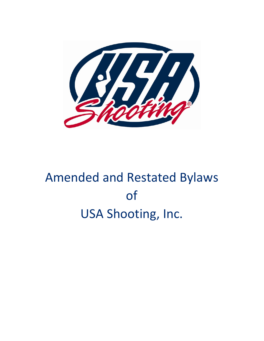

# Amended and Restated Bylaws of USA Shooting, Inc.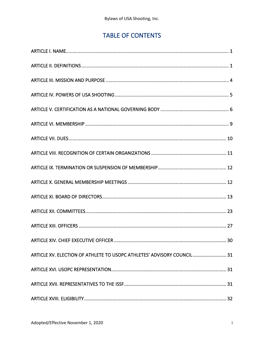# **TABLE OF CONTENTS**

| 30                                                                     |
|------------------------------------------------------------------------|
| ARTICLE XV. ELECTION OF ATHLETE TO USOPC ATHLETES' ADVISORY COUNCIL 31 |
|                                                                        |
|                                                                        |
|                                                                        |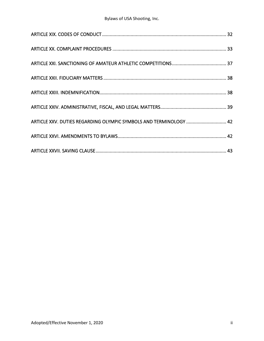| ARTICLE XXV. DUTIES REGARDING OLYMPIC SYMBOLS AND TERMINOLOGY  42 |  |
|-------------------------------------------------------------------|--|
|                                                                   |  |
|                                                                   |  |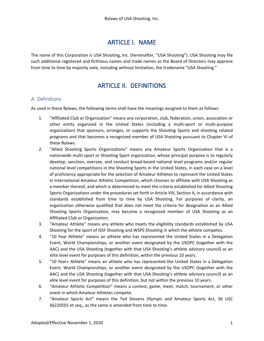# ARTICLE I. NAME

<span id="page-3-1"></span><span id="page-3-0"></span>The name of this Corporation is USA Shooting, Inc. (hereinafter, "USA Shooting"). USA Shooting may file such additional registered and fictitious names and trade names as the Board of Directors may approve from time to time by majority vote, including without limitation, the tradename "USA Shooting."

# ARTICLE II. DEFINITIONS

#### A. Definitions

As used in these Bylaws, the following terms shall have the meanings assigned to them as follows:

- 1. "Affiliated Club or Organization" means any corporation, club, federation, union, association or other entity organized in the United States (including a multi-sport or multi-purpose organization) that sponsors, arranges, or supports the Shooting Sports and shooting related programs and that becomes a recognized member of USA Shooting pursuant to Chapter VI of these Bylaws.
- 2. "Allied Shooting Sports Organizations" means any Amateur Sports Organization that is a nationwide multi-sport or Shooting Sport organization, whose principal purpose is to regularly develop, sanction, oversee, and conduct broad-based national level programs and/or regular national level competitions in the Shooting Sports in the United States, in each case on a level of proficiency appropriate for the selection of Amateur Athletes to represent the United States in International Amateur Athletic Competition, which chooses to affiliate with USA Shooting as a member thereof, and which is determined to meet the criteria established for Allied Shooting Sports Organizations under the procedures set forth in Article VIII, Section A, in accordance with standards established from time to time by USA Shooting. For purposes of clarity, an organization otherwise qualified that does not meet the criteria for designation as an Allied Shooting Sports Organization, may become a recognized member of USA Shooting as an Affiliated Club or Organization.
- 3. "Amateur Athlete" means any athlete who meets the eligibility standards established by USA Shooting for the sport of ISSF Shooting and WSPS Shooting in which the athlete competes.
- 4. "10 Year Athlete" means an athlete who has represented the United States in a Delegation Event, World Championships, or another event designated by the USOPC (together with the AAC) and the USA Shooting (together with that USA Shooting's athlete advisory council) as an elite level event for purposes of this definition, within the previous 10 years.
- 5. "10 Year+ Athlete" means an athlete who has represented the United States in a Delegation Event, World Championships, or another event designated by the USOPC (together with the AAC) and the USA Shooting (together with that USA Shooting's athlete advisory council) as an elite level event for purposes of this definition, but not within the previous 10 years.
- 6. "Amateur Athletic Competition" means a contest, game, meet, match, tournament, or other event in which Amateur Athletes compete.
- 7. "Amateur Sports Act" means the Ted Stevens Olympic and Amateur Sports Act, 36 USC §§220501 et seq., as the same is amended from time to time.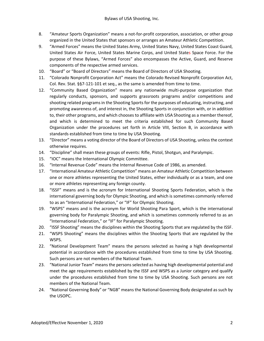- 8. "Amateur Sports Organization" means a not-for-profit corporation, association, or other group organized in the United States that sponsors or arranges an Amateur Athletic Competition.
- 9. "Armed Forces" means the United States Army, United States Navy, United States Coast Guard, United States Air Force, United States Marine Corps, and United States Space Force. For the purpose of these Bylaws, "Armed Forces" also encompasses the Active, Guard, and Reserve components of the respective armed services.
- 10. "Board" or "Board of Directors" means the Board of Directors of USA Shooting.
- 11. "Colorado Nonprofit Corporation Act" means the Colorado Revised Nonprofit Corporation Act, Col. Rev. Stat. §§7-121-101 et seq., as the same is amended from time to time.
- 12. "Community Based Organization" means any nationwide multi-purpose organization that regularly conducts, sponsors, and supports grassroots programs and/or competitions and shooting related programs in the Shooting Sports for the purposes of educating, instructing, and promoting awareness of, and interest in, the Shooting Sports in conjunction with, or in addition to, their other programs, and which chooses to affiliate with USA Shooting as a member thereof, and which is determined to meet the criteria established for such Community Based Organization under the procedures set forth in Article VIII, Section B, in accordance with standards established from time to time by USA Shooting.
- 13. "Director" means a voting director of the Board of Directors of USA Shooting, unless the context otherwise requires.
- 14. "Discipline" shall mean these groups of events: Rifle, Pistol, Shotgun, and Paralympic.
- 15. "IOC" means the International Olympic Committee.
- 16. "Internal Revenue Code" means the Internal Revenue Code of 1986, as amended.
- 17. "International Amateur Athletic Competition" means an Amateur Athletic Competition between one or more athletes representing the United States, either individually or as a team, and one or more athletes representing any foreign county.
- 18. "ISSF" means and is the acronym for International Shooting Sports Federation, which is the international governing body for Olympic Shooting, and which is sometimes commonly referred to as an "International Federation," or "IF" for Olympic Shooting.
- 19. "WSPS" means and is the acronym for World Shooting Para Sport, which is the international governing body for Paralympic Shooting, and which is sometimes commonly referred to as an "International Federation," or "IF" for Paralympic Shooting.
- 20. "ISSF Shooting" means the disciplines within the Shooting Sports that are regulated by the ISSF.
- 21. "WSPS Shooting" means the disciplines within the Shooting Sports that are regulated by the WSPS.
- 22. "National Development Team" means the persons selected as having a high developmental potential in accordance with the procedures established from time to time by USA Shooting. Such persons are not members of the National Team.
- 23. "National Junior Team" means the persons selected as having high developmental potential and meet the age requirements established by the ISSF and WSPS as a Junior category and qualify under the procedures established from time to time by USA Shooting. Such persons are not members of the National Team.
- 24. "National Governing Body" or "NGB" means the National Governing Body designated as such by the USOPC.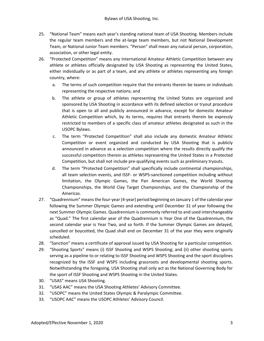- 25. "National Team" means each year's standing national team of USA Shooting. Members include the regular team members and the at-large team members, but not National Development Team, or National Junior Team members. "Person" shall mean any natural person, corporation, association, or other legal entity.
- 26. "Protected Competition" means any International Amateur Athletic Competition between any athlete or athletes officially designated by USA Shooting as representing the United States, either individually or as part of a team, and any athlete or athletes representing any foreign country, where:
	- a. The terms of such competition require that the entrants therein be teams or individuals representing the respective nations; and
	- b. The athlete or group of athletes representing the United States are organized and sponsored by USA Shooting in accordance with its defined selection or tryout procedure that is open to all and publicly announced in advance, except for domestic Amateur Athletic Competition which, by its terms, requires that entrants therein be expressly restricted to members of a specific class of amateur athletes designated as such in the USOPC Bylaws.
	- c. The term "Protected Competition" shall also include any domestic Amateur Athletic Competition or event organized and conducted by USA Shooting that is publicly announced in advance as a selection competition where the results directly qualify the successful competitors therein as athletes representing the United States in a Protected Competition, but shall not include pre-qualifying events such as preliminary tryouts.
	- d. The term "Protected Competition" shall specifically include continental championships, all team selection events, and ISSF- or WSPS-sanctioned competition including without limitation, the Olympic Games, the Pan American Games, the World Shooting Championships, the World Clay Target Championships, and the Championship of the Americas.
- 27. "Quadrennium" means the four-year (4-year) period beginning on January 1 of the calendar year following the Summer Olympic Games and extending until December 31 of year following the next Summer Olympic Games. Quadrennium is commonly referred to and used interchangeably as "Quad." The first calendar year of the Quadrennium is Year One of the Quadrennium, the second calendar year is Year Two, and so forth. If the Summer Olympic Games are delayed, cancelled or boycotted, the Quad shall end on December 31 of the year they were originally scheduled.
- 28. "Sanction" means a certificate of approval issued by USA Shooting for a particular competition.
- 29. "Shooting Sports" means (i) ISSF Shooting and WSPS Shooting; and (ii) other shooting sports serving as a pipeline to or relating to ISSF Shooting and WSPS Shooting and the sport disciplines recognized by the ISSF and WSPS including grassroots and developmental shooting sports. Notwithstanding the foregoing, USA Shooting shall only act as the National Governing Body for the sport of ISSF Shooting and WSPS Shooting in the United States.
- 30. "USAS" means USA Shooting.
- 31. "USAS AAC" means the USA Shooting Athletes' Advisory Committee.
- 32. "USOPC" means the United States Olympic & Paralympic Committee.
- 33. "USOPC AAC" means the USOPC Athletes' Advisory Council.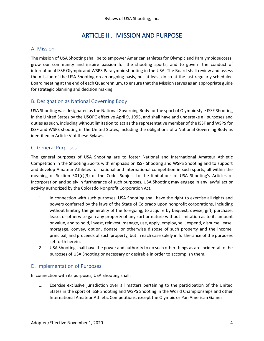# ARTICLE III. MISSION AND PURPOSE

#### <span id="page-6-0"></span>A. Mission

The mission of USA Shooting shall be to empower American athletes for Olympic and Paralympic success; grow our community and inspire passion for the shooting sports; and to govern the conduct of international ISSF Olympic and WSPS Paralympic shooting in the USA. The Board shall review and assess the mission of the USA Shooting on an ongoing basis, but at least do so at the last regularly scheduled Board meeting at the end of each Quadrennium, to ensure that the Mission serves as an appropriate guide for strategic planning and decision making.

#### B. Designation as National Governing Body

USA Shooting was designated as the National Governing Body for the sport of Olympic style ISSF Shooting in the United States by the USOPC effective April 9, 1995, and shall have and undertake all purposes and duties as such, including without limitation to act as the representative member of the ISSF and WSPS for ISSF and WSPS shooting in the United States, including the obligations of a National Governing Body as identified in Article V of these Bylaws.

#### C. General Purposes

The general purposes of USA Shooting are to foster National and International Amateur Athletic Competition in the Shooting Sports with emphasis on ISSF Shooting and WSPS Shooting and to support and develop Amateur Athletes for national and international competition in such sports, all within the meaning of Section 501(c)(3) of the Code. Subject to the limitations of USA Shooting's Articles of Incorporation and solely in furtherance of such purposes, USA Shooting may engage in any lawful act or activity authorized by the Colorado Nonprofit Corporation Act.

- 1. In connection with such purposes, USA Shooting shall have the right to exercise all rights and powers conferred by the laws of the State of Colorado upon nonprofit corporations, including without limiting the generality of the foregoing, to acquire by bequest, devise, gift, purchase, lease, or otherwise gain any property of any sort or nature without limitation as to its amount or value, and to hold, invest, reinvest, manage, use, apply, employ, sell, expend, disburse, lease, mortgage, convey, option, donate, or otherwise dispose of such property and the income, principal, and proceeds of such property, but in each case solely in furtherance of the purposes set forth herein.
- 2. USA Shooting shall have the power and authority to do such other things as are incidental to the purposes of USA Shooting or necessary or desirable in order to accomplish them.

#### D. Implementation of Purposes

In connection with its purposes, USA Shooting shall:

1. Exercise exclusive jurisdiction over all matters pertaining to the participation of the United States in the sport of ISSF Shooting and WSPS Shooting in the World Championships and other International Amateur Athletic Competitions, except the Olympic or Pan American Games.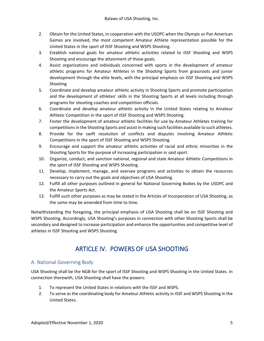- 2. Obtain for the United States, in cooperation with the USOPC when the Olympic or Pan American Games are involved, the most competent Amateur Athlete representation possible for the United States in the sport of ISSF Shooting and WSPS Shooting.
- 3. Establish national goals for amateur athletic activities related to ISSF Shooting and WSPS Shooting and encourage the attainment of those goals.
- 4. Assist organizations and individuals concerned with sports in the development of amateur athletic programs for Amateur Athletes in the Shooting Sports from grassroots and junior development through the elite levels, with the principal emphasis on ISSF Shooting and WSPS Shooting
- 5. Coordinate and develop amateur athletic activity in Shooting Sports and promote participation and the development of athletes' skills in the Shooting Sports at all levels including through programs for shooting coaches and competition officials.
- 6. Coordinate and develop amateur athletic activity in the United States relating to Amateur Athletic Competition in the sport of ISSF Shooting and WSPS Shooting.
- 7. Foster the development of amateur athletic facilities for use by Amateur Athletes training for competitions in the Shooting Sports and assist in making such facilities available to such athletes.
- 8. Provide for the swift resolution of conflicts and disputes involving Amateur Athletic Competitions in the sport of ISSF Shooting and WSPS Shooting.
- 9. Encourage and support the amateur athletic activities of racial and ethnic minorities in the Shooting Sports for the purpose of increasing participation in said sport.
- 10. Organize, conduct, and sanction national, regional and state Amateur Athletic Competitions in the sport of ISSF Shooting and WSPS Shooting.
- 11. Develop, implement, manage, and oversee programs and activities to obtain the resources necessary to carry out the goals and objectives of USA Shooting.
- 12. Fulfill all other purposes outlined in general for National Governing Bodies by the USOPC and the Amateur Sports Act.
- 13. Fulfill such other purposes as may be stated in the Articles of Incorporation of USA Shooting, as the same may be amended from time to time.

Notwithstanding the foregoing, the principal emphasis of USA Shooting shall be on ISSF Shooting and WSPS Shooting. Accordingly, USA Shooting's purposes in connection with other Shooting Sports shall be secondary and designed to increase participation and enhance the opportunities and competitive level of athletes in ISSF Shooting and WSPS Shooting.

# ARTICLE IV. POWERS OF USA SHOOTING

# <span id="page-7-0"></span>A. National Governing Body

USA Shooting shall be the NGB for the sport of ISSF Shooting and WSPS Shooting in the United States. In connection therewith, USA Shooting shall have the powers:

- 1. To represent the United States in relations with the ISSF and WSPS.
- 2. To serve as the coordinating body for Amateur Athletic activity in ISSF and WSPS Shooting in the United States.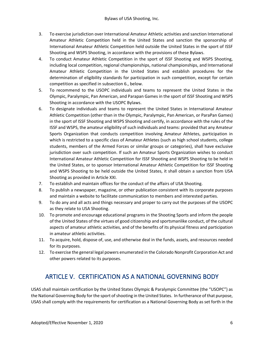- 3. To exercise jurisdiction over International Amateur Athletic activities and sanction International Amateur Athletic Competition held in the United States and sanction the sponsorship of International Amateur Athletic Competition held outside the United States in the sport of ISSF Shooting and WSPS Shooting, in accordance with the provisions of these Bylaws.
- 4. To conduct Amateur Athletic Competition in the sport of ISSF Shooting and WSPS Shooting, including local competition, regional championships, national championships, and International Amateur Athletic Competition in the United States and establish procedures for the determination of eligibility standards for participation in such competition, except for certain competition as specified in subsection 6., below.
- 5. To recommend to the USOPC individuals and teams to represent the United States in the Olympic, Paralympic, Pan American, and Parapan Games in the sport of ISSF Shooting and WSPS Shooting in accordance with the USOPC Bylaws.
- 6. To designate individuals and teams to represent the United States in International Amateur Athletic Competition (other than in the Olympic, Paralympic, Pan American, or ParaPan Games) in the sport of ISSF Shooting and WSPS Shooting and certify, in accordance with the rules of the ISSF and WSPS, the amateur eligibility of such individuals and teams: provided that any Amateur Sports Organization that conducts competition involving Amateur Athletes, participation in which is restricted to a specific class of Amateur Athletes (such as high school students, college students, members of the Armed Forces or similar groups or categories), shall have exclusive jurisdiction over such competition. If such an Amateur Sports Organization wishes to conduct International Amateur Athletic Competition for ISSF Shooting and WSPS Shooting to be held in the United States, or to sponsor International Amateur Athletic Competition for ISSF Shooting and WSPS Shooting to be held outside the United States, it shall obtain a sanction from USA Shooting as provided in Article XXI.
- 7. To establish and maintain offices for the conduct of the affairs of USA Shooting.
- 8. To publish a newspaper, magazine, or other publication consistent with its corporate purposes and maintain a website to facilitate communication to members and interested parties.
- 9. To do any and all acts and things necessary and proper to carry out the purposes of the USOPC as they relate to USA Shooting.
- 10. To promote and encourage educational programs in the Shooting Sports and inform the people of the United States of the virtues of good citizenship and sportsmanlike conduct, of the cultural aspects of amateur athletic activities, and of the benefits of its physical fitness and participation in amateur athletic activities.
- 11. To acquire, hold, dispose of, use, and otherwise deal in the funds, assets, and resources needed for its purposes.
- <span id="page-8-0"></span>12. To exercise the general legal powers enumerated in the Colorado Nonprofit Corporation Act and other powers related to its purposes.

# ARTICLE V. CERTIFICATION AS A NATIONAL GOVERNING BODY

USAS shall maintain certification by the United States Olympic & Paralympic Committee (the "USOPC") as the National Governing Body for the sport of shooting in the United States. In furtherance of that purpose, USAS shall comply with the requirements for certification as a National Governing Body as set forth in the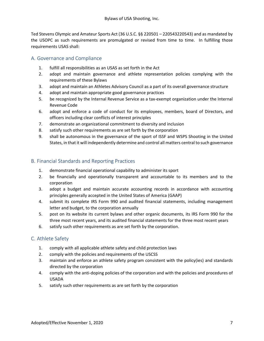Ted Stevens Olympic and Amateur Sports Act (36 U.S.C. §§ 220501 – 220543220543) and as mandated by the USOPC as such requirements are promulgated or revised from time to time.In fulfilling those requirements USAS shall:

### A. Governance and Compliance

- 1. fulfill all responsibilities as an USAS as set forth in the Act
- 2. adopt and maintain governance and athlete representation policies complying with the requirements of these Bylaws
- 3. adopt and maintain an Athletes Advisory Council as a part of its overall governance structure
- 4. adopt and maintain appropriate good governance practices
- 5. be recognized by the Internal Revenue Service as a tax-exempt organization under the Internal Revenue Code
- 6. adopt and enforce a code of conduct for its employees, members, board of Directors, and officers including clear conflicts of interest principles
- 7. demonstrate an organizational commitment to diversity and inclusion
- 8. satisfy such other requirements as are set forth by the corporation
- 9. shall be autonomous in the governance of the sport of ISSF and WSPS Shooting in the United States, in that it will independently determine and control all matters central to such governance

### B. Financial Standards and Reporting Practices

- 1. demonstrate financial operational capability to administer its sport
- 2. be financially and operationally transparent and accountable to its members and to the corporation
- 3. adopt a budget and maintain accurate accounting records in accordance with accounting principles generally accepted in the United States of America (GAAP)
- 4. submit its complete IRS Form 990 and audited financial statements, including management letter and budget, to the corporation annually
- 5. post on its website its current bylaws and other organic documents, its IRS Form 990 for the three most recent years, and its audited financial statements for the three most recent years
- 6. satisfy such other requirements as are set forth by the corporation.

# C. Athlete Safety

- 1. comply with all applicable athlete safety and child protection laws
- 2. comply with the policies and requirements of the USCSS
- 3. maintain and enforce an athlete safety program consistent with the policy(ies) and standards directed by the corporation
- 4. comply with the anti-doping policies of the corporation and with the policies and procedures of USADA
- 5. satisfy such other requirements as are set forth by the corporation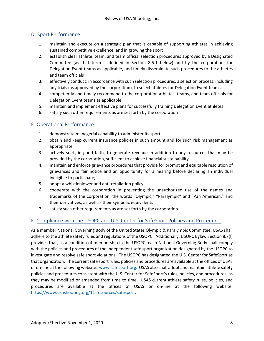### D. Sport Performance

- 1. maintain and execute on a strategic plan that is capable of supporting athletes in achieving sustained competitive excellence, and in growing the sport
- 2. establish clear athlete, team, and team official selection procedures approved by a Designated Committee (as that term is defined in Section 8.5.1 below) and by the corporation, for Delegation Event teams as applicable, and timely disseminate such procedures to the athletes and team officials
- 3. effectively conduct, in accordance with such selection procedures, a selection process, including any trials (as approved by the corporation), to select athletes for Delegation Event teams
- 4. competently and timely recommend to the corporation athletes, teams, and team officials for Delegation Event teams as applicable
- 5. maintain and implement effective plans for successfully training Delegation Event athletes
- 6. satisfy such other requirements as are set forth by the corporation

# E. Operational Performance

- 1. demonstrate managerial capability to administer its sport
- 2. obtain and keep current insurance policies in such amount and for such risk management as appropriate
- 3. actively seek, in good faith, to generate revenue in addition to any resources that may be provided by the corporation, sufficient to achieve financial sustainability
- 4. maintain and enforce grievance procedures that provide for prompt and equitable resolution of grievances and fair notice and an opportunity for a hearing before declaring an individual ineligible to participate;
- 5. adopt a whistleblower and anti-retaliation policy;
- 6. cooperate with the corporation in preventing the unauthorized use of the names and trademarks of the corporation, the words "Olympic," "Paralympic" and "Pan American," and their derivatives, as well as their symbolic equivalents
- 7. satisfy such other requirements as are set forth by the corporation

# F. Compliance with the USOPC and U.S. Center for SafeSport Policies and Procedures

As a member National Governing Body of the United States Olympic & Paralympic Committee, USAS shall adhere to the athlete safety rules and regulations of the USOPC. Additionally, USOPC Bylaw Section 8.7(l) provides that, as a condition of membership in the USOPC, each National Governing Body shall comply with the policies and procedures of the independent safe sport organization designated by the USOPC to investigate and resolve safe sport violations. The USOPC has designated the U.S. Center for SafeSport as that organization. The current safe sport rules, policies and procedures are available at the offices of USAS or on-line at the following website: [www.safesport.org.](www.safesport.org) USAS also shall adopt and maintain athlete safety policies and procedures consistent with the U.S. Center for SafeSport's rules, policies, and procedures, as they may be modified or amended from time to time. USAS current athlete safety rules, policies, and procedures are available at the offices of USAS or on-line at the following website: [https://www.usashooting.org/11-resources/safesport.](https://www.usashooting.org/11-resources/safesport)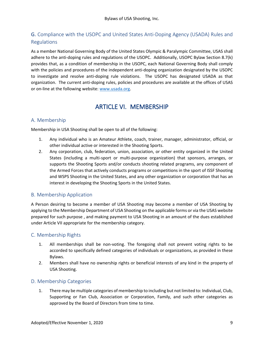# G. Compliance with the USOPC and United States Anti-Doping Agency (USADA) Rules and Regulations

As a member National Governing Body of the United States Olympic & Paralympic Committee, USAS shall adhere to the anti-doping rules and regulations of the USOPC. Additionally, USOPC Bylaw Section 8.7(k) provides that, as a condition of membership in the USOPC, each National Governing Body shall comply with the policies and procedures of the independent anti-doping organization designated by the USOPC to investigate and resolve anti-doping rule violations. The USOPC has designated USADA as that organization. The current anti-doping rules, policies and procedures are available at the offices of USAS or on-line at the following website: [www.usada.org.](www.usada.org)

# ARTICLE VI. MEMBERSHIP

# <span id="page-11-0"></span>A. Membership

Membership in USA Shooting shall be open to all of the following:

- 1. Any individual who is an Amateur Athlete, coach, trainer, manager, administrator, official, or other individual active or interested in the Shooting Sports.
- 2. Any corporation, club, federation, union, association, or other entity organized in the United States (including a multi-sport or multi-purpose organization) that sponsors, arranges, or supports the Shooting Sports and/or conducts shooting related programs, any component of the Armed Forces that actively conducts programs or competitions in the sport of ISSF Shooting and WSPS Shooting in the United States, and any other organization or corporation that has an interest in developing the Shooting Sports in the United States.

#### B. Membership Application

A Person desiring to become a member of USA Shooting may become a member of USA Shooting by applying to the Membership Department of USA Shooting on the applicable forms or via the USAS website prepared for such purpose , and making payment to USA Shooting in an amount of the dues established under Article VII appropriate for the membership category.

#### C. Membership Rights

- 1. All memberships shall be non-voting. The foregoing shall not prevent voting rights to be accorded to specifically defined categories of individuals or organizations, as provided in these Bylaws.
- 2. Members shall have no ownership rights or beneficial interests of any kind in the property of USA Shooting.

#### D. Membership Categories

1. There may be multiple categories of membership to including but not limited to: Individual, Club, Supporting or Fan Club, Association or Corporation, Family, and such other categories as approved by the Board of Directors from time to time.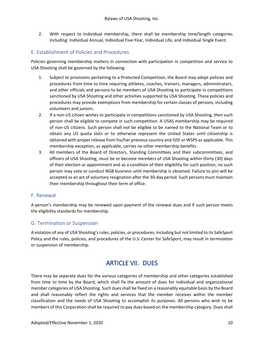2. With respect to Individual membership, there shall be membership time/length categories including: Individual Annual, Individual Five-Year, Individual Life, and Individual Single Event.

### E. Establishment of Policies and Procedures

Policies governing membership matters in connection with participation in competition and service to USA Shooting shall be governed by the following:

- 1. Subject to provisions pertaining to a Protected Competition, the Board may adopt policies and procedures from time to time requiring athletes, coaches, trainers, managers, administrators, and other officials and persons to be members of USA Shooting to participate in competitions sanctioned by USA Shooting and other activities supported by USA Shooting. These policies and procedures may provide exemptions from membership for certain classes of persons, including volunteers and juniors.
- 2. If a non-US citizen wishes to participate in competitions sanctioned by USA Shooting, then such person shall be eligible to compete in such competition. A USAS membership may be required of non-US citizens. Such person shall not be eligible to be named to the National Team or to obtain any US quota slots or to otherwise represent the United States until citizenship is obtained with proper release from his/her previous country and ISSF or WSPS as applicable. This membership exception, as applicable, carries no other membership benefits.
- 3. All members of the Board of Directors, Standing Committees and their subcommittees, and officers of USA Shooting, must be or become members of USA Shooting within thirty (30) days of their election or appointment and as a condition of their eligibility for such position; no such person may vote or conduct NGB business until membership is obtained. Failure to join will be accepted as an act of voluntary resignation after the 30-day period. Such persons must maintain their membership throughout their term of office.

#### F. Renewal

A person's membership may be renewed upon payment of the renewal dues and if such person meets the eligibility standards for membership.

#### G. Termination or Suspension

<span id="page-12-0"></span>A violation of any of USA Shooting's rules, policies, or procedures, including but not limited to its SafeSport Policy and the rules, policies, and procedures of the U.S. Center for SafeSport, may result in termination or suspension of membership.

# ARTICLE VII. DUES

There may be separate dues for the various categories of membership and other categories established from time to time by the Board, which shall fix the amount of dues for individual and organizational member categories of USA Shooting. Such dues shall be fixed on a reasonably equitable basis by the Board and shall reasonably reflect the rights and services that the member receives within the member classification and the needs of USA Shooting to accomplish its purposes. All persons who wish to be members of this Corporation shall be required to pay dues based on the membership category. Dues shall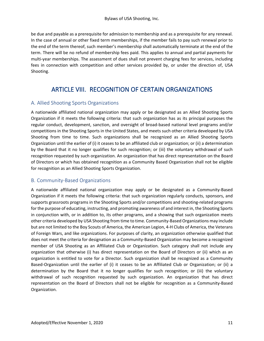be due and payable as a prerequisite for admission to membership and as a prerequisite for any renewal. In the case of annual or other fixed term memberships, if the member fails to pay such renewal prior to the end of the term thereof, such member's membership shall automatically terminate at the end of the term. There will be no refund of membership fees paid. This applies to annual and partial payments for multi-year memberships. The assessment of dues shall not prevent charging fees for services, including fees in connection with competition and other services provided by, or under the direction of, USA Shooting.

# ARTICLE VIII. RECOGNITION OF CERTAIN ORGANIZATIONS

#### <span id="page-13-0"></span>A. Allied Shooting Sports Organizations

A nationwide affiliated national organization may apply or be designated as an Allied Shooting Sports Organization if it meets the following criteria: that such organization has as its principal purposes the regular conduct, development, sanction, and oversight of broad-based national level programs and/or competitions in the Shooting Sports in the United States, and meets such other criteria developed by USA Shooting from time to time. Such organizations shall be recognized as an Allied Shooting Sports Organization until the earlier of (i) it ceases to be an affiliated club or organization; or (ii) a determination by the Board that it no longer qualifies for such recognition; or (iii) the voluntary withdrawal of such recognition requested by such organization. An organization that has direct representation on the Board of Directors or which has obtained recognition as a Community Based Organization shall not be eligible for recognition as an Allied Shooting Sports Organization.

# B. Community-Based Organizations

A nationwide affiliated national organization may apply or be designated as a Community-Based Organization if it meets the following criteria: that such organization regularly conducts, sponsors, and supports grassroots programs in the Shooting Sports and/or competitions and shooting-related programs for the purpose of educating, instructing, and promoting awareness of and interest in, the Shooting Sports in conjunction with, or in addition to, its other programs, and a showing that such organization meets other criteria developed by USA Shooting from time to time. Community-Based Organizations may include but are not limited to the Boy Scouts of America, the American Legion, 4-H Clubs of America, the Veterans of Foreign Wars, and like organizations. For purposes of clarity, an organization otherwise qualified that does not meet the criteria for designation as a Community-Based Organization may become a recognized member of USA Shooting as an Affiliated Club or Organization. Such category shall not include any organization that otherwise (i) has direct representation on the Board of Directors or (ii) which as an organization is entitled to vote for a Director. Such organization shall be recognized as a Community Based-Organization until the earlier of (i) it ceases to be an Affiliated Club or Organization; or (ii) a determination by the Board that it no longer qualifies for such recognition; or (iii) the voluntary withdrawal of such recognition requested by such organization. An organization that has direct representation on the Board of Directors shall not be eligible for recognition as a Community-Based Organization.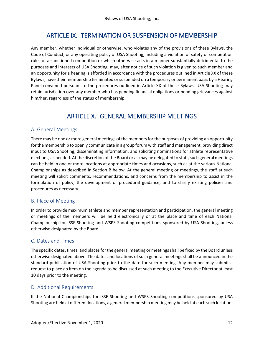# ARTICLE IX. TERMINATION OR SUSPENSION OF MEMBERSHIP

<span id="page-14-0"></span>Any member, whether individual or otherwise, who violates any of the provisions of these Bylaws, the Code of Conduct, or any operating policy of USA Shooting, including a violation of safety or competition rules of a sanctioned competition or which otherwise acts in a manner substantially detrimental to the purposes and interests of USA Shooting, may, after notice of such violation is given to such member and an opportunity for a hearing is afforded in accordance with the procedures outlined in Article XX of these Bylaws, have their membership terminated or suspended on a temporary or permanent basis by a Hearing Panel convened pursuant to the procedures outlined in Article XX of these Bylaws. USA Shooting may retain jurisdiction over any member who has pending financial obligations or pending grievances against him/her, regardless of the status of membership.

# ARTICLE X. GENERAL MEMBERSHIP MEETINGS

#### <span id="page-14-1"></span>A. General Meetings

There may be one or more general meetings of the members for the purposes of providing an opportunity for the membership to openly communicate in a group forum with staff and management, providing direct input to USA Shooting, disseminating information, and soliciting nominations for athlete representative elections, as needed. At the discretion of the Board or as may be delegated to staff, such general meetings can be held in one or more locations at appropriate times and occasions, such as at the various National Championships as described in Section B below. At the general meeting or meetings, the staff at such meeting will solicit comments, recommendations, and concerns from the membership to assist in the formulation of policy, the development of procedural guidance, and to clarify existing policies and procedures as necessary.

#### B. Place of Meeting

In order to provide maximum athlete and member representation and participation, the general meeting or meetings of the members will be held electronically or at the place and time of each National Championship for ISSF Shooting and WSPS Shooting competitions sponsored by USA Shooting, unless otherwise designated by the Board.

#### C. Dates and Times

The specific dates, times, and places for the general meeting or meetings shall be fixed by the Board unless otherwise designated above. The dates and locations of such general meetings shall be announced in the standard publication of USA Shooting prior to the date for such meeting. Any member may submit a request to place an item on the agenda to be discussed at such meeting to the Executive Director at least 10 days prior to the meeting.

#### D. Additional Requirements

If the National Championships for ISSF Shooting and WSPS Shooting competitions sponsored by USA Shooting are held at different locations, a general membership meeting may be held at each such location.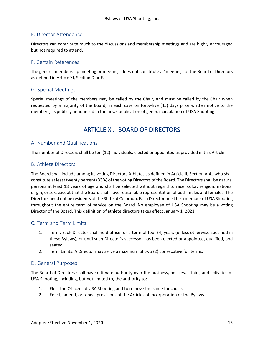### E. Director Attendance

Directors can contribute much to the discussions and membership meetings and are highly encouraged but not required to attend.

#### F. Certain References

The general membership meeting or meetings does not constitute a "meeting" of the Board of Directors as defined in Article XI, Section D or E.

#### G. Special Meetings

<span id="page-15-0"></span>Special meetings of the members may be called by the Chair, and must be called by the Chair when requested by a majority of the Board, in each case on forty-five (45) days prior written notice to the members, as publicly announced in the news publication of general circulation of USA Shooting.

# ARTICLE XI. BOARD OF DIRECTORS

#### A. Number and Qualifications

The number of Directors shall be ten (12) individuals, elected or appointed as provided in this Article.

#### B. Athlete Directors

The Board shall include among its voting Directors Athletes as defined in Article II, Section A.4., who shall constitute at least twenty percent (33%) of the voting Directors of the Board. The Directors shall be natural persons at least 18 years of age and shall be selected without regard to race, color, religion, national origin, or sex, except that the Board shall have reasonable representation of both males and females. The Directors need not be residents of the State of Colorado. Each Director must be a member of USA Shooting throughout the entire term of service on the Board. No employee of USA Shooting may be a voting Director of the Board. This definition of athlete directors takes effect January 1, 2021.

#### C. Term and Term Limits

- 1. Term. Each Director shall hold office for a term of four (4) years (unless otherwise specified in these Bylaws), or until such Director's successor has been elected or appointed, qualified, and seated.
- 2. Term Limits. A Director may serve a maximum of two (2) consecutive full terms.

#### D. General Purposes

The Board of Directors shall have ultimate authority over the business, policies, affairs, and activities of USA Shooting, including, but not limited to, the authority to:

- 1. Elect the Officers of USA Shooting and to remove the same for cause.
- 2. Enact, amend, or repeal provisions of the Articles of Incorporation or the Bylaws.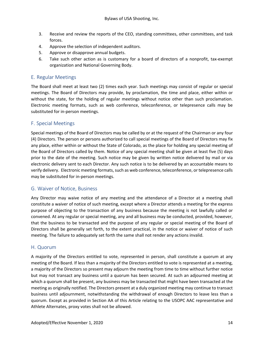- 3. Receive and review the reports of the CEO, standing committees, other committees, and task forces.
- 4. Approve the selection of independent auditors.
- 5. Approve or disapprove annual budgets.
- 6. Take such other action as is customary for a board of directors of a nonprofit, tax-exempt organization and National Governing Body.

#### E. Regular Meetings

The Board shall meet at least two (2) times each year. Such meetings may consist of regular or special meetings. The Board of Directors may provide, by proclamation, the time and place, either within or without the state, for the holding of regular meetings without notice other than such proclamation. Electronic meeting formats, such as web conference, teleconference, or telepresence calls may be substituted for in-person meetings.

#### F. Special Meetings

Special meetings of the Board of Directors may be called by or at the request of the Chairman or any four (4) Directors. The person or persons authorized to call special meetings of the Board of Directors may fix any place, either within or without the State of Colorado, as the place for holding any special meeting of the Board of Directors called by them. Notice of any special meeting shall be given at least five (5) days prior to the date of the meeting. Such notice may be given by written notice delivered by mail or via electronic delivery sent to each Director. Any such notice is to be delivered by an accountable means to verify delivery. Electronic meeting formats, such as web conference, teleconference, or telepresence calls may be substituted for in-person meetings.

#### G. Waiver of Notice, Business

Any Director may waive notice of any meeting and the attendance of a Director at a meeting shall constitute a waiver of notice of such meeting, except where a Director attends a meeting for the express purpose of objecting to the transaction of any business because the meeting is not lawfully called or convened. At any regular or special meeting, any and all business may be conducted, provided, however, that the business to be transacted and the purpose of any regular or special meeting of the Board of Directors shall be generally set forth, to the extent practical, in the notice or waiver of notice of such meeting. The failure to adequately set forth the same shall not render any actions invalid.

#### H. Quorum

A majority of the Directors entitled to vote, represented in person, shall constitute a quorum at any meeting of the Board. If less than a majority of the Directors entitled to vote is represented at a meeting, a majority of the Directors so present may adjourn the meeting from time to time without further notice but may not transact any business until a quorum has been secured. At such an adjourned meeting at which a quorum shall be present, any business may be transacted that might have been transacted at the meeting as originally notified. The Directors present at a duly organized meeting may continue to transact business until adjournment, notwithstanding the withdrawal of enough Directors to leave less than a quorum. Except as provided in Section AA of this Article relating to the USOPC AAC representative and Athlete Alternates, proxy votes shall not be allowed.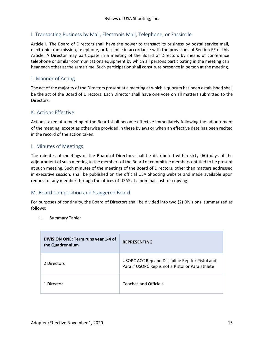# I. Transacting Business by Mail, Electronic Mail, Telephone, or Facsimile

Article I. The Board of Directors shall have the power to transact its business by postal service mail, electronic transmission, telephone, or facsimile in accordance with the provisions of Section EE of this Article. A Director may participate in a meeting of the Board of Directors by means of conference telephone or similar communications equipment by which all persons participating in the meeting can hear each other at the same time. Such participation shall constitute presence in person at the meeting.

#### J. Manner of Acting

The act of the majority of the Directors present at a meeting at which a quorum has been established shall be the act of the Board of Directors. Each Director shall have one vote on all matters submitted to the Directors.

#### K. Actions Effective

Actions taken at a meeting of the Board shall become effective immediately following the adjournment of the meeting, except as otherwise provided in these Bylaws or when an effective date has been recited in the record of the action taken.

#### L. Minutes of Meetings

The minutes of meetings of the Board of Directors shall be distributed within sixty (60) days of the adjournment of such meeting to the members of the Board or committee members entitled to be present at such meeting. Such minutes of the meetings of the Board of Directors, other than matters addressed in executive session, shall be published on the official USA Shooting website and made available upon request of any member through the offices of USAS at a nominal cost for copying.

#### M. Board Composition and Staggered Board

For purposes of continuity, the Board of Directors shall be divided into two (2) Divisions, summarized as follows:

1. Summary Table:

| DIVISION ONE: Term runs year 1-4 of<br>the Quadrennium | <b>REPRESENTING</b>                                                                                  |
|--------------------------------------------------------|------------------------------------------------------------------------------------------------------|
| 2 Directors                                            | USOPC ACC Rep and Discipline Rep for Pistol and<br>Para if USOPC Rep is not a Pistol or Para athlete |
| 1 Director                                             | Coaches and Officials                                                                                |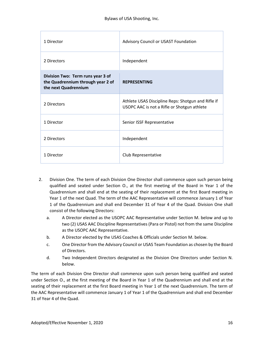| 1 Director                                                                                     | Advisory Council or USAST Foundation                                                              |
|------------------------------------------------------------------------------------------------|---------------------------------------------------------------------------------------------------|
| 2 Directors                                                                                    | Independent                                                                                       |
| Division Two: Term runs year 3 of<br>the Quadrennium through year 2 of<br>the next Quadrennium | <b>REPRESENTING</b>                                                                               |
| 2 Directors                                                                                    | Athlete USAS Discipline Reps: Shotgun and Rifle if<br>USOPC AAC is not a Rifle or Shotgun athlete |
| 1 Director                                                                                     | Senior ISSF Representative                                                                        |
| 2 Directors                                                                                    | Independent                                                                                       |
| 1 Director                                                                                     | Club Representative                                                                               |

- 2. Division One. The term of each Division One Director shall commence upon such person being qualified and seated under Section O., at the first meeting of the Board in Year 1 of the Quadrennium and shall end at the seating of their replacement at the first Board meeting in Year 1 of the next Quad. The term of the AAC Representative will commence January 1 of Year 1 of the Quadrennium and shall end December 31 of Year 4 of the Quad. Division One shall consist of the following Directors:
	- a. A Director elected as the USOPC AAC Representative under Section M. below and up to two (2) USAS AAC Discipline Representatives (Para or Pistol) not from the same Discipline as the USOPC AAC Representative.
	- b. A Director elected by the USAS Coaches & Officials under Section M. below.
	- c. One Director from the Advisory Council or USAS Team Foundation as chosen by the Board of Directors.
	- d. Two Independent Directors designated as the Division One Directors under Section N. below.

The term of each Division One Director shall commence upon such person being qualified and seated under Section O., at the first meeting of the Board in Year 1 of the Quadrennium and shall end at the seating of their replacement at the first Board meeting in Year 1 of the next Quadrennium. The term of the AAC Representative will commence January 1 of Year 1 of the Quadrennium and shall end December 31 of Year 4 of the Quad.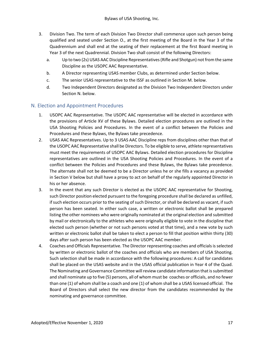- 3. Division Two. The term of each Division Two Director shall commence upon such person being qualified and seated under Section O., at the first meeting of the Board in the Year 3 of the Quadrennium and shall end at the seating of their replacement at the first Board meeting in Year 3 of the next Quadrennial. Division Two shall consist of the following Directors:
	- a. Up to two (2s) USAS AAC Discipline Representatives (Rifle and Shotgun) not from the same Discipline as the USOPC AAC Representative.
	- b. A Director representing USAS member Clubs, as determined under Section below.
	- c. The senior USAS representative to the ISSF as outlined in Section M. below.
	- d. Two Independent Directors designated as the Division Two Independent Directors under Section N. below.

### N. Election and Appointment Procedures

- 1. USOPC AAC Representative. The USOPC AAC representative will be elected in accordance with the provisions of Article XV of these Bylaws. Detailed election procedures are outlined in the USA Shooting Policies and Procedures. In the event of a conflict between the Policies and Procedures and these Bylaws, the Bylaws take precedence.
- 2. USAS AAC Representatives. Up to 3 USAS AAC Discipline reps from disciplines other than that of the USOPC AAC Representative shall be Directors. To be eligible to serve, athlete representatives must meet the requirements of USOPC AAC Bylaws. Detailed election procedures for Discipline representatives are outlined in the USA Shooting Policies and Procedures. In the event of a conflict between the Policies and Procedures and these Bylaws, the Bylaws take precedence. The alternate shall not be deemed to be a Director unless he or she fills a vacancy as provided in Section V below but shall have a proxy to act on behalf of the regularly appointed Director in his or her absence.
- 3. In the event that any such Director is elected as the USOPC AAC representative for Shooting, such Director position elected pursuant to the foregoing procedure shall be declared as unfilled, if such election occurs prior to the seating of such Director, or shall be declared as vacant, if such person has been seated. In either such case, a written or electronic ballot shall be prepared listing the other nominees who were originally nominated at the original election and submitted by mail or electronically to the athletes who were originally eligible to vote in the discipline that elected such person (whether or not such persons voted at that time), and a new vote by such written or electronic ballot shall be taken to elect a person to fill that position within thirty (30) days after such person has been elected as the USOPC AAC member.
- 4. Coaches and Officials Representative. The Director representing coaches and officials is selected by written or electronic ballot of the coaches and officials who are members of USA Shooting. Such selection shall be made in accordance with the following procedures: A call for candidates shall be placed on the USAS website and in the USAS official publication in Year 4 of the Quad. The Nominating and Governance Committee will review candidate information that is submitted and shall nominate up to five (5) persons, all of whom must be coaches or officials, and no fewer than one (1) of whom shall be a coach and one (1) of whom shall be a USAS licensed official. The Board of Directors shall select the new director from the candidates recommended by the nominating and governance committee.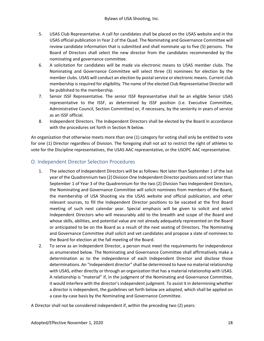- 5. USAS Club Representative. A call for candidates shall be placed on the USAS website and in the USAS official publication in Year 2 of the Quad. The Nominating and Governance Committee will review candidate information that is submitted and shall nominate up to five (5) persons. The Board of Directors shall select the new director from the candidates recommended by the nominating and governance committee.
- 6. A solicitation for candidates will be made via electronic means to USAS member clubs. The Nominating and Governance Committee will select three (3) nominees for election by the member clubs. USAS will conduct an election by postal service or electronic means. Current club membership is required for eligibility. The name of the elected Club Representative Director will be published to the membership.
- 7. Senior ISSF Representative. The senior ISSF Representative shall be an eligible Senior USAS representative to the ISSF, as determined by ISSF position (i.e. Executive Committee, Administrative Council, Section Committee) or, if necessary, by the seniority in years of service as an ISSF official.
- 8. Independent Directors. The Independent Directors shall be elected by the Board in accordance with the procedures set forth in Section N below.

An organization that otherwise meets more than one (1) category for voting shall only be entitled to vote for one (1) Director regardless of Division. The foregoing shall not act to restrict the right of athletes to vote for the Discipline representatives, the USAS AAC representative, or the USOPC AAC representative.

#### O. Independent Director Selection Procedures

- 1. The selection of Independent Directors will be as follows: Not later than September 1 of the last year of the Quadrennium two (2) Division One Independent Director positions and not later than September 1 of Year 3 of the Quadrennium for the two (2) Division Two Independent Directors, the Nominating and Governance Committee will solicit nominees from members of the Board, the membership of USA Shooting via the USAS website and official publication, and other relevant sources, to fill the Independent Director positions to be vacated at the first Board meeting of such next calendar year. Special emphasis will be given to solicit and select Independent Directors who will measurably add to the breadth and scope of the Board and whose skills, abilities, and potential value are not already adequately represented on the Board or anticipated to be on the Board as a result of the next seating of Directors. The Nominating and Governance Committee shall solicit and vet candidates and propose a slate of nominees to the Board for election at the fall meeting of the Board.
- 2. To serve as an Independent Director, a person must meet the requirements for independence as enumerated below. The Nominating and Governance Committee shall affirmatively make a determination as to the independence of each Independent Director and disclose those determinations. An "independent director" shall be determined to have no material relationship with USAS, either directly or through an organization that has a material relationship with USAS. A relationship is "material" if, in the judgment of the Nominating and Governance Committee, it would interfere with the director's independent judgment. To assist it in determining whether a director is independent, the guidelines set forth below are adopted, which shall be applied on a case-by-case basis by the Nominating and Governance Committee.
- A Director shall not be considered independent if, within the preceding two (2) years: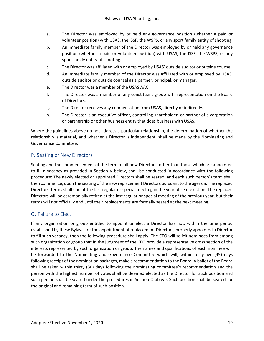- a. The Director was employed by or held any governance position (whether a paid or volunteer position) with USAS, the ISSF, the WSPS, or any sport family entity of shooting.
- b. An immediate family member of the Director was employed by or held any governance position (whether a paid or volunteer position) with USAS, the ISSF, the WSPS, or any sport family entity of shooting.
- c. The Director was affiliated with or employed by USAS' outside auditor or outside counsel.
- d. An immediate family member of the Director was affiliated with or employed by USAS' outside auditor or outside counsel as a partner, principal, or manager.
- e. The Director was a member of the USAS AAC.
- f. The Director was a member of any constituent group with representation on the Board of Directors.
- g. The Director receives any compensation from USAS, directly or indirectly.
- h. The Director is an executive officer, controlling shareholder, or partner of a corporation or partnership or other business entity that does business with USAS.

Where the guidelines above do not address a particular relationship, the determination of whether the relationship is material, and whether a Director is independent, shall be made by the Nominating and Governance Committee.

#### P. Seating of New Directors

Seating and the commencement of the term of all new Directors, other than those which are appointed to fill a vacancy as provided in Section V below, shall be conducted in accordance with the following procedure: The newly elected or appointed Directors shall be seated, and each such person's term shall then commence, upon the seating of the new replacement Directors pursuant to the agenda. The replaced Directors' terms shall end at the last regular or special meeting in the year of seat election. The replaced Directors will be ceremonially retired at the last regular or special meeting of the previous year, but their terms will not officially end until their replacements are formally seated at the next meeting.

#### Q. Failure to Elect

If any organization or group entitled to appoint or elect a Director has not, within the time period established by these Bylaws for the appointment of replacement Directors, properly appointed a Director to fill such vacancy, then the following procedure shall apply: The CEO will solicit nominees from among such organization or group that in the judgment of the CEO provide a representative cross section of the interests represented by such organization or group. The names and qualifications of each nominee will be forwarded to the Nominating and Governance Committee which will, within forty-five (45) days following receipt of the nomination packages, make a recommendation to the Board. A ballot of the Board shall be taken within thirty (30) days following the nominating committee's recommendation and the person with the highest number of votes shall be deemed elected as the Director for such position and such person shall be seated under the procedures in Section O above. Such position shall be seated for the original and remaining term of such position.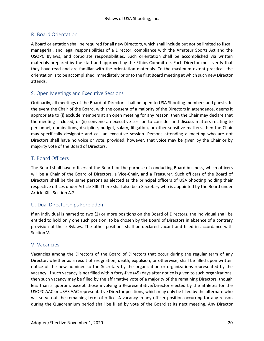# R. Board Orientation

A Board orientation shall be required for all new Directors, which shall include but not be limited to fiscal, managerial, and legal responsibilities of a Director, compliance with the Amateur Sports Act and the USOPC Bylaws, and corporate responsibilities. Such orientation shall be accomplished via written materials prepared by the staff and approved by the Ethics Committee. Each Director must verify that they have read and are familiar with the orientation materials. To the maximum extent practical, the orientation is to be accomplished immediately prior to the first Board meeting at which such new Director attends.

### S. Open Meetings and Executive Sessions

Ordinarily, all meetings of the Board of Directors shall be open to USA Shooting members and guests. In the event the Chair of the Board, with the consent of a majority of the Directors in attendance, deems it appropriate to (i) exclude members at an open meeting for any reason, then the Chair may declare that the meeting is closed, or (ii) convene an executive session to consider and discuss matters relating to personnel, nominations, discipline, budget, salary, litigation, or other sensitive matters, then the Chair may specifically designate and call an executive session. Persons attending a meeting who are not Directors shall have no voice or vote, provided, however, that voice may be given by the Chair or by majority vote of the Board of Directors.

# T. Board Officers

The Board shall have officers of the Board for the purpose of conducting Board business, which officers will be a Chair of the Board of Directors, a Vice-Chair, and a Treasurer. Such officers of the Board of Directors shall be the same persons as elected as the principal officers of USA Shooting holding their respective offices under Article XIII. There shall also be a Secretary who is appointed by the Board under Article XIII, Section A.2.

# U. Dual Directorships Forbidden

If an individual is named to two (2) or more positions on the Board of Directors, the individual shall be entitled to hold only one such position, to be chosen by the Board of Directors in absence of a contrary provision of these Bylaws. The other positions shall be declared vacant and filled in accordance with Section V.

#### V. Vacancies

Vacancies among the Directors of the Board of Directors that occur during the regular term of any Director, whether as a result of resignation, death, expulsion, or otherwise, shall be filled upon written notice of the new nominee to the Secretary by the organization or organizations represented by the vacancy. If such vacancy is not filled within forty-five (45) days after notice is given to such organizations, then such vacancy may be filled by the affirmative vote of a majority of the remaining Directors, though less than a quorum, except those involving a Representative/Director elected by the athletes for the USOPC AAC or USAS AAC representative Director positions, which may only be filled by the alternate who will serve out the remaining term of office. A vacancy in any officer position occurring for any reason during the Quadrennium period shall be filled by vote of the Board at its next meeting. Any Director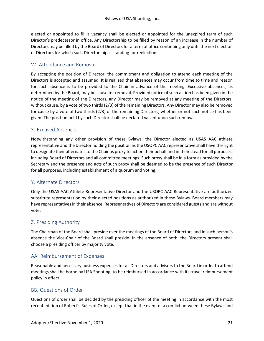elected or appointed to fill a vacancy shall be elected or appointed for the unexpired term of such Director's predecessor in office. Any Directorship to be filled by reason of an increase in the number of Directors may be filled by the Board of Directors for a term of office continuing only until the next election of Directors for which such Directorship is standing for reelection.

### W. Attendance and Removal

By accepting the position of Director, the commitment and obligation to attend each meeting of the Directors is accepted and assumed. It is realized that absences may occur from time to time and reason for such absence is to be provided to the Chair in advance of the meeting. Excessive absences, as determined by the Board, may be cause for removal. Provided notice of such action has been given in the notice of the meeting of the Directors, any Director may be removed at any meeting of the Directors, without cause, by a vote of two thirds (2/3) of the remaining Directors. Any Director may also be removed for cause by a vote of two thirds (2/3) of the remaining Directors, whether or not such notice has been given. The position held by such Director shall be declared vacant upon such removal.

#### X. Excused Absences

Notwithstanding any other provision of these Bylaws, the Director elected as USAS AAC athlete representative and the Director holding the position as the USOPC AAC representative shall have the right to designate their alternates to the Chair as proxy to act on their behalf and in their stead for all purposes, including Board of Directors and all committee meetings. Such proxy shall be in a form as provided by the Secretary and the presence and acts of such proxy shall be deemed to be the presence of such Director for all purposes, including establishment of a quorum and voting.

#### Y. Alternate Directors

Only the USAS AAC Athlete Representative Director and the USOPC AAC Representative are authorized substitute representation by their elected positions as authorized in these Bylaws. Board members may have representatives in their absence. Representatives of Directors are considered guests and are without vote.

#### Z. Presiding Authority

The Chairman of the Board shall preside over the meetings of the Board of Directors and in such person's absence the Vice-Chair of the Board shall preside. In the absence of both, the Directors present shall choose a presiding officer by majority vote.

#### AA. Reimbursement of Expenses

Reasonable and necessary business expenses for all Directors and advisors to the Board in order to attend meetings shall be borne by USA Shooting, to be reimbursed in accordance with its travel reimbursement policy in effect.

#### BB. Questions of Order

Questions of order shall be decided by the presiding officer of the meeting in accordance with the most recent edition of Robert's Rules of Order, except that in the event of a conflict between these Bylaws and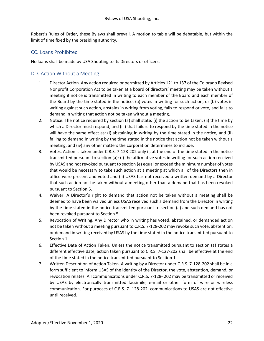Robert's Rules of Order, these Bylaws shall prevail. A motion to table will be debatable, but within the limit of time fixed by the presiding authority.

### CC. Loans Prohibited

No loans shall be made by USA Shooting to its Directors or officers.

#### DD. Action Without a Meeting

- 1. Director Action. Any action required or permitted by Articles 121 to 137 of the Colorado Revised Nonprofit Corporation Act to be taken at a board of directors' meeting may be taken without a meeting if notice is transmitted in writing to each member of the Board and each member of the Board by the time stated in the notice: (a) votes in writing for such action; or (b) votes in writing against such action, abstains in writing from voting, fails to respond or vote, and fails to demand in writing that action not be taken without a meeting.
- 2. Notice. The notice required by section (a) shall state: (i) the action to be taken; (ii) the time by which a Director must respond; and (iii) that failure to respond by the time stated in the notice will have the same effect as: (I) abstaining in writing by the time stated in the notice, and (II) failing to demand in writing by the time stated in the notice that action not be taken without a meeting; and (iv) any other matters the corporation determines to include.
- 3. Votes. Action is taken under C.R.S. 7-128-202 only if, at the end of the time stated in the notice transmitted pursuant to section (a): (i) the affirmative votes in writing for such action received by USAS and not revoked pursuant to section (e) equal or exceed the minimum number of votes that would be necessary to take such action at a meeting at which all of the Directors then in office were present and voted and (ii) USAS has not received a written demand by a Director that such action not be taken without a meeting other than a demand that has been revoked pursuant to Section 5.
- 4. Waiver. A Director's right to demand that action not be taken without a meeting shall be deemed to have been waived unless USAS received such a demand from the Director in writing by the time stated in the notice transmitted pursuant to section (a) and such demand has not been revoked pursuant to Section 5.
- 5. Revocation of Writing. Any Director who in writing has voted, abstained, or demanded action not be taken without a meeting pursuant to C.R.S. 7-128-202 may revoke such vote, abstention, or demand in writing received by USAS by the time stated in the notice transmitted pursuant to Section 1.
- 6. Effective Date of Action Taken. Unless the notice transmitted pursuant to section (a) states a different effective date, action taken pursuant to C.R.S. 7-127-202 shall be effective at the end of the time stated in the notice transmitted pursuant to Section 1.
- 7. Written Description of Action Taken. A writing by a Director under C.R.S. 7-128-202 shall be in a form sufficient to inform USAS of the identity of the Director, the vote, abstention, demand, or revocation relates. All communications under C.R.S. 7-128- 202 may be transmitted or received by USAS by electronically transmitted facsimile, e-mail or other form of wire or wireless communication. For purposes of C.R.S. 7- 128-202, communications to USAS are not effective until received.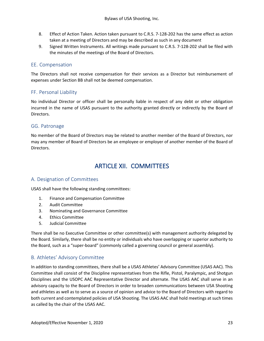- 8. Effect of Action Taken. Action taken pursuant to C.R.S. 7-128-202 has the same effect as action taken at a meeting of Directors and may be described as such in any document
- 9. Signed Written Instruments. All writings made pursuant to C.R.S. 7-128-202 shall be filed with the minutes of the meetings of the Board of Directors.

### EE. Compensation

The Directors shall not receive compensation for their services as a Director but reimbursement of expenses under Section BB shall not be deemed compensation.

### FF. Personal Liability

No individual Director or officer shall be personally liable in respect of any debt or other obligation incurred in the name of USAS pursuant to the authority granted directly or indirectly by the Board of Directors.

#### GG. Patronage

<span id="page-25-0"></span>No member of the Board of Directors may be related to another member of the Board of Directors, nor may any member of Board of Directors be an employee or employer of another member of the Board of Directors.

# ARTICLE XII. COMMITTEES

#### A. Designation of Committees

USAS shall have the following standing committees:

- 1. Finance and Compensation Committee
- 2. Audit Committee
- 3. Nominating and Governance Committee
- 4. Ethics Committee
- 5. Judicial Committee

There shall be no Executive Committee or other committee(s) with management authority delegated by the Board. Similarly, there shall be no entity or individuals who have overlapping or superior authority to the Board, such as a "super-board" (commonly called a governing council or general assembly).

#### B. Athletes' Advisory Committee

In addition to standing committees, there shall be a USAS Athletes' Advisory Committee (USAS AAC). This Committee shall consist of the Discipline representatives from the Rifle, Pistol, Paralympic, and Shotgun Disciplines and the USOPC AAC Representative Director and alternate. The USAS AAC shall serve in an advisory capacity to the Board of Directors in order to broaden communications between USA Shooting and athletes as well as to serve as a source of opinion and advice to the Board of Directors with regard to both current and contemplated policies of USA Shooting. The USAS AAC shall hold meetings at such times as called by the chair of the USAS AAC.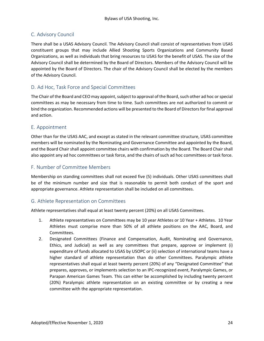# C. Advisory Council

There shall be a USAS Advisory Council. The Advisory Council shall consist of representatives from USAS constituent groups that may include Allied Shooting Sports Organizations and Community Based Organizations, as well as individuals that bring resources to USAS for the benefit of USAS. The size of the Advisory Council shall be determined by the Board of Directors. Members of the Advisory Council will be appointed by the Board of Directors. The chair of the Advisory Council shall be elected by the members of the Advisory Council.

#### D. Ad Hoc, Task Force and Special Committees

The Chair of the Board and CEO may appoint, subject to approval of the Board, such other ad hoc or special committees as may be necessary from time to time. Such committees are not authorized to commit or bind the organization. Recommended actions will be presented to the Board of Directors for final approval and action.

#### E. Appointment

Other than for the USAS AAC, and except as stated in the relevant committee structure, USAS committee members will be nominated by the Nominating and Governance Committee and appointed by the Board, and the Board Chair shall appoint committee chairs with confirmation by the Board. The Board Chair shall also appoint any ad hoc committees or task force, and the chairs of such ad hoc committees or task force.

#### F. Number of Committee Members

Membership on standing committees shall not exceed five (5) individuals. Other USAS committees shall be of the minimum number and size that is reasonable to permit both conduct of the sport and appropriate governance. Athlete representation shall be included on all committees.

#### G. Athlete Representation on Committees

Athlete representatives shall equal at least twenty percent (20%) on all USAS Committees.

- 1. Athlete representatives on Committees may be 10 year Athletes or 10 Year + Athletes. 10 Year Athletes must comprise more than 50% of all athlete positions on the AAC, Board, and Committees.
- 2. Designated Committees (Finance and Compensation, Audit, Nominating and Governance, Ethics, and Judicial) as well as any committees that prepare, approve or implement (i) expenditure of funds allocated to USAS by USOPC or (ii) selection of international teams have a higher standard of athlete representation than do other Committees. Paralympic athlete representatives shall equal at least twenty percent (20%) of any "Designated Committee" that prepares, approves, or implements selection to an IPC-recognized event, Paralympic Games, or Parapan American Games Team. This can either be accomplished by including twenty percent (20%) Paralympic athlete representation on an existing committee or by creating a new committee with the appropriate representation.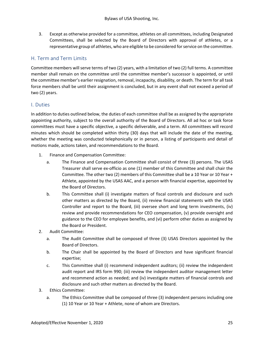3. Except as otherwise provided for a committee, athletes on all committees, including Designated Committees, shall be selected by the Board of Directors with approval of athletes, or a representative group of athletes, who are eligible to be considered for service on the committee.

### H. Term and Term Limits

Committee members will serve terms of two (2) years, with a limitation of two (2) full terms. A committee member shall remain on the committee until the committee member's successor is appointed, or until the committee member's earlier resignation, removal, incapacity, disability, or death. The term for all task force members shall be until their assignment is concluded, but in any event shall not exceed a period of two (2) years.

#### I. Duties

In addition to duties outlined below, the duties of each committee shall be as assigned by the appropriate appointing authority, subject to the overall authority of the Board of Directors. All ad hoc or task force committees must have a specific objective, a specific deliverable, and a term. All committees will record minutes which should be completed within thirty (30) days that will include the date of the meeting, whether the meeting was conducted telephonically or in person, a listing of participants and detail of motions made, actions taken, and recommendations to the Board.

- 1. Finance and Compensation Committee:
	- a. The Finance and Compensation Committee shall consist of three (3) persons. The USAS Treasurer shall serve ex-officio as one (1) member of this Committee and shall chair the Committee. The other two (2) members of this Committee shall be a 10 Year or 10 Year + Athlete, appointed by the USAS AAC, and a person with financial expertise, appointed by the Board of Directors.
	- b. This Committee shall (i) investigate matters of fiscal controls and disclosure and such other matters as directed by the Board, (ii) review financial statements with the USAS Controller and report to the Board, (iii) oversee short and long term investments, (iv) review and provide recommendations for CEO compensation, (v) provide oversight and guidance to the CEO for employee benefits, and (vi) perform other duties as assigned by the Board or President.
- 2. Audit Committee:
	- a. The Audit Committee shall be composed of three (3) USAS Directors appointed by the Board of Directors.
	- b. The Chair shall be appointed by the Board of Directors and have significant financial expertise;
	- c. This Committee shall (i) recommend independent auditors; (ii) review the independent audit report and IRS form 990; (iii) review the independent auditor management letter and recommend action as needed; and (iv) investigate matters of financial controls and disclosure and such other matters as directed by the Board.
- 3. Ethics Committee:
	- a. The Ethics Committee shall be composed of three (3) independent persons including one (1) 10 Year or 10 Year + Athlete, none of whom are Directors.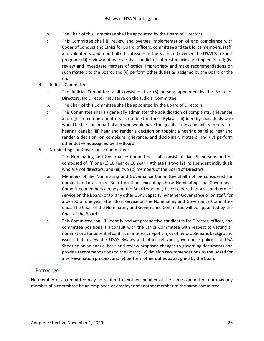- b. The Chair of this Committee shall be appointed by the Board of Directors.
- c. This Committee shall (i) review and oversee implementation of and compliance with Codes of Conduct and Ethics for Board, officers, committee and task force members, staff, and volunteers, and report all ethical issues to the Board; (ii) oversee the USAS SafeSport program; (iii) review and oversee that conflict of interest policies are implemented; (iv) review and investigate matters of ethical impropriety and make recommendations on such matters to the Board; and (v) perform other duties as assigned by the Board or the Chair.
- 4. Judicial Committee:
	- a. The Judicial Committee shall consist of five (5) persons appointed by the Board of Directors. No Director may serve on the Judicial Committee.
	- b. The Chair of this Committee shall be appointed by the Board of Directors.
	- c. This Committee shall (i) generally administer the adjudication of complaints, grievances and right to compete matters as outlined in these Bylaws; (ii) identify individuals who would be fair and impartial and who would have the qualifications and ability to serve on hearing panels; (iii) hear and render a decision or appoint a hearing panel to hear and render a decision, on complaint, grievance, and disciplinary matters; and (iv) perform other duties as assigned by the Board.
- 5. Nominating and Governance Committee:
	- a. The Nominating and Governance Committee shall consist of five (5) persons and be composed of: (i) one (1) 10 Year or 10 Year + Athlete (ii) two (2) independent individuals who are not directors; and (iii) two (2) members of the Board of Directors.
	- b. Members of the Nominating and Governance Committee shall not be considered for nomination to an open Board position (excepting those Nominating and Governance Committee members already on the Board who may be considered for a second term of service on the Board) or to any other USAS capacity, whether Governance or on staff, for a period of one year after their service on the Nominating and Governance Committee ends. The Chair of the Nominating and Governance Committee will be appointed by the Chair of the Board.
	- c. This Committee shall (i) identify and vet prospective candidates for Director, officer, and committee positions; (ii) consult with the Ethics Committee with respect to vetting all nominations for potential conflict of interest, nepotism, or other problematic background issues; (iii) review the USAS Bylaws and other relevant governance policies of USA Shooting on an annual basis and review proposed changes to governing documents and provide recommendations to the Board; (iv) develop recommendations to the Board for a self-evaluation process; and (v) perform other duties as assigned by the Board.

#### J. Patronage

No member of a committee may be related to another member of the same committee, nor may any member of a committee be an employee or employer of another member of the same committee.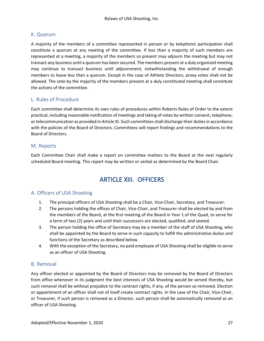# K. Quorum

A majority of the members of a committee represented in person or by telephonic participation shall constitute a quorum at any meeting of the committee. If less than a majority of such members are represented at a meeting, a majority of the members so present may adjourn the meeting but may not transact any business until a quorum has been secured. The members present at a duly organized meeting may continue to transact business until adjournment, notwithstanding the withdrawal of enough members to leave less than a quorum. Except in the case of Athlete Directors, proxy votes shall not be allowed. The vote by the majority of the members present at a duly constituted meeting shall constitute the actions of the committee.

### L. Rules of Procedure

Each committee shall determine its own rules of procedures within Roberts Rules of Order to the extent practical, including reasonable notification of meetings and taking of votes by written consent, telephone, or telecommunication as provided in Article XI. Such committees shall discharge their duties in accordance with the policies of the Board of Directors. Committees will report findings and recommendations to the Board of Directors.

#### M. Reports

<span id="page-29-0"></span>Each Committee Chair shall make a report on committee matters to the Board at the next regularly scheduled Board meeting. This report may be written or verbal as determined by the Board Chair.

# ARTICLE XIII. OFFICERS

#### A. Officers of USA Shooting

- 1. The principal officers of USA Shooting shall be a Chair, Vice-Chair, Secretary, and Treasurer.
- 2. The persons holding the offices of Chair, Vice-Chair, and Treasurer shall be elected by and from the members of the Board, at the first meeting of the Board in Year 1 of the Quad, to serve for a term of two (2) years and until their successors are elected, qualified, and seated.
- 3. The person holding the office of Secretary may be a member of the staff of USA Shooting, who shall be appointed by the Board to serve in such capacity to fulfill the administrative duties and functions of the Secretary as described below.
- 4. With the exception of the Secretary, no paid employee of USA Shooting shall be eligible to serve as an officer of USA Shooting.

#### B. Removal

Any officer elected or appointed by the Board of Directors may be removed by the Board of Directors from office whenever in its judgment the best interests of USA Shooting would be served thereby, but such removal shall be without prejudice to the contract rights, if any, of the person so removed. Election or appointment of an officer shall not of itself create contract rights. In the case of the Chair, Vice-Chair, or Treasurer, if such person is removed as a Director, such person shall be automatically removed as an officer of USA Shooting.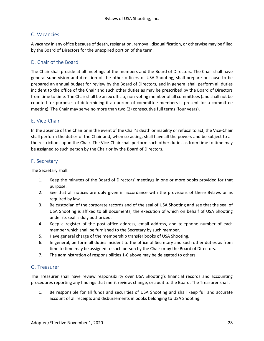### C. Vacancies

A vacancy in any office because of death, resignation, removal, disqualification, or otherwise may be filled by the Board of Directors for the unexpired portion of the term.

#### D. Chair of the Board

The Chair shall preside at all meetings of the members and the Board of Directors. The Chair shall have general supervision and direction of the other officers of USA Shooting, shall prepare or cause to be prepared an annual budget for review by the Board of Directors, and in general shall perform all duties incident to the office of the Chair and such other duties as may be prescribed by the Board of Directors from time to time. The Chair shall be an ex officio, non-voting member of all committees (and shall not be counted for purposes of determining if a quorum of committee members is present for a committee meeting). The Chair may serve no more than two (2) consecutive full terms (four years).

#### E. Vice-Chair

In the absence of the Chair or in the event of the Chair's death or inability or refusal to act, the Vice-Chair shall perform the duties of the Chair and, when so acting, shall have all the powers and be subject to all the restrictions upon the Chair. The Vice-Chair shall perform such other duties as from time to time may be assigned to such person by the Chair or by the Board of Directors.

#### F. Secretary

The Secretary shall:

- 1. Keep the minutes of the Board of Directors' meetings in one or more books provided for that purpose.
- 2. See that all notices are duly given in accordance with the provisions of these Bylaws or as required by law.
- 3. Be custodian of the corporate records and of the seal of USA Shooting and see that the seal of USA Shooting is affixed to all documents, the execution of which on behalf of USA Shooting under its seal is duly authorized.
- 4. Keep a register of the post office address, email address, and telephone number of each member which shall be furnished to the Secretary by such member.
- 5. Have general charge of the membership transfer books of USA Shooting.
- 6. In general, perform all duties incident to the office of Secretary and such other duties as from time to time may be assigned to such person by the Chair or by the Board of Directors.
- 7. The administration of responsibilities 1-6 above may be delegated to others.

#### G. Treasurer

The Treasurer shall have review responsibility over USA Shooting's financial records and accounting procedures reporting any findings that merit review, change, or audit to the Board. The Treasurer shall:

1. Be responsible for all funds and securities of USA Shooting and shall keep full and accurate account of all receipts and disbursements in books belonging to USA Shooting.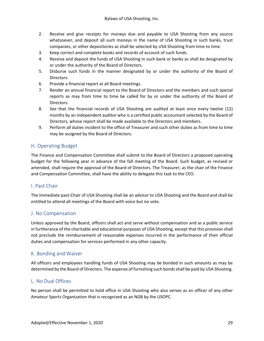- 2. Receive and give receipts for moneys due and payable to USA Shooting from any source whatsoever, and deposit all such moneys in the name of USA Shooting in such banks, trust companies, or other depositories as shall be selected by USA Shooting from time to time.
- 3. Keep correct and complete books and records of account of such funds.
- 4. Receive and deposit the funds of USA Shooting in such bank or banks as shall be designated by or under the authority of the Board of Directors.
- 5. Disburse such funds in the manner designated by or under the authority of the Board of Directors.
- 6. Provide a financial report at all Board meetings.
- 7. Render an annual financial report to the Board of Directors and the members and such special reports as may from time to time be called for by or under the authority of the Board of Directors.
- 8. See that the financial records of USA Shooting are audited at least once every twelve (12) months by an independent auditor who is a certified public accountant selected by the Board of Directors, whose report shall be made available to the Directors and members.
- 9. Perform all duties incident to the office of Treasurer and such other duties as from time to time may be assigned by the Board of Directors.

### H. Operating Budget

The Finance and Compensation Committee shall submit to the Board of Directors a proposed operating budget for the following year in advance of the fall meeting of the Board. Such budget, as revised or amended, shall require the approval of the Board of Directors. The Treasurer, as the chair of the Finance and Compensation Committee, shall have the ability to delegate this task to the CEO.

#### I. Past Chair

The immediate past-Chair of USA Shooting shall be an advisor to USA Shooting and the Board and shall be entitled to attend all meetings of the Board with voice but no vote.

#### J. No Compensation

Unless approved by the Board, officers shall act and serve without compensation and as a public service in furtherance of the charitable and educational purposes of USA Shooting, except that this provision shall not preclude the reimbursement of reasonable expenses incurred in the performance of their official duties and compensation for services performed in any other capacity.

#### K. Bonding and Waiver

All officers and employees handling funds of USA Shooting may be bonded in such amounts as may be determined by the Board of Directors. The expense of furnishing such bonds shall be paid by USA Shooting.

#### L. No Dual Offices

No person shall be permitted to hold office in USA Shooting who also serves as an officer of any other Amateur Sports Organization that is recognized as an NGB by the USOPC.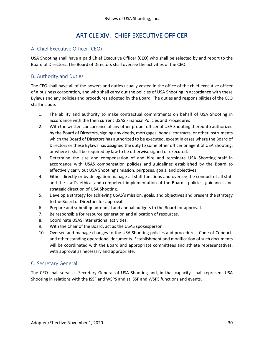# ARTICLE XIV. CHIEF EXECUTIVE OFFICER

# <span id="page-32-0"></span>A. Chief Executive Officer (CEO)

USA Shooting shall have a paid Chief Executive Officer (CEO) who shall be selected by and report to the Board of Directors. The Board of Directors shall oversee the activities of the CEO.

### B. Authority and Duties

The CEO shall have all of the powers and duties usually vested in the office of the chief executive officer of a business corporation, and who shall carry out the policies of USA Shooting in accordance with these Bylaws and any policies and procedures adopted by the Board. The duties and responsibilities of the CEO shall include:

- 1. The ability and authority to make contractual commitments on behalf of USA Shooting in accordance with the then current USAS Financial Policies and Procedures
- 2. With the written concurrence of any other proper officer of USA Shooting thereunto authorized by the Board of Directors, signing any deeds, mortgages, bonds, contracts, or other instruments which the Board of Directors has authorized to be executed, except in cases where the Board of Directors or these Bylaws has assigned the duty to some other officer or agent of USA Shooting, or where it shall be required by law to be otherwise signed or executed.
- 3. Determine the size and compensation of and hire and terminate USA Shooting staff in accordance with USAS compensation policies and guidelines established by the Board to effectively carry out USA Shooting's mission, purposes, goals, and objectives.
- 4. Either directly or by delegation manage all staff functions and oversee the conduct of all staff and the staff's ethical and competent implementation of the Board's policies, guidance, and strategic direction of USA Shooting.
- 5. Develop a strategy for achieving USAS's mission, goals, and objectives and present the strategy to the Board of Directors for approval.
- 6. Prepare and submit quadrennial and annual budgets to the Board for approval.
- 7. Be responsible for resource generation and allocation of resources.
- 8. Coordinate USAS international activities.
- 9. With the Chair of the Board, act as the USAS spokesperson.
- 10. Oversee and manage changes to the USA Shooting policies and procedures, Code of Conduct, and other standing operational documents. Establishment and modification of such documents will be coordinated with the Board and appropriate committees and athlete representatives, with approval as necessary and appropriate.

#### C. Secretary General

The CEO shall serve as Secretary General of USA Shooting and, in that capacity, shall represent USA Shooting in relations with the ISSF and WSPS and at ISSF and WSPS functions and events.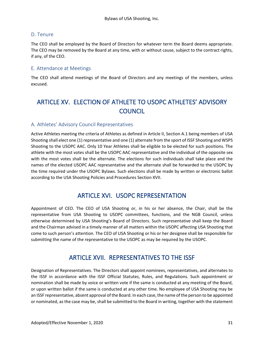#### D. Tenure

The CEO shall be employed by the Board of Directors for whatever term the Board deems appropriate. The CEO may be removed by the Board at any time, with or without cause, subject to the contract rights, if any, of the CEO.

#### E. Attendance at Meetings

The CEO shall attend meetings of the Board of Directors and any meetings of the members, unless excused.

# <span id="page-33-0"></span>ARTICLE XV. ELECTION OF ATHLETE TO USOPC ATHLETES' ADVISORY **COUNCIL**

#### A. Athletes' Advisory Council Representatives

Active Athletes meeting the criteria of Athletes as defined in Article II, Section A.1 being members of USA Shooting shall elect one (1) representative and one (1) alternate from the sport of ISSF Shooting and WSPS Shooting to the USOPC AAC. Only 10 Year Athletes shall be eligible to be elected for such positions. The athlete with the most votes shall be the USOPC AAC representative and the individual of the opposite sex with the most votes shall be the alternate. The elections for such individuals shall take place and the names of the elected USOPC AAC representative and the alternate shall be forwarded to the USOPC by the time required under the USOPC Bylaws. Such elections shall be made by written or electronic ballot according to the USA Shooting Policies and Procedures Section XVII.

# ARTICLE XVI. USOPC REPRESENTATION

<span id="page-33-1"></span>Appointment of CEO. The CEO of USA Shooting or, in his or her absence, the Chair, shall be the representative from USA Shooting to USOPC committees, functions, and the NGB Council, unless otherwise determined by USA Shooting's Board of Directors. Such representative shall keep the Board and the Chairman advised in a timely manner of all matters within the USOPC affecting USA Shooting that come to such person's attention. The CEO of USA Shooting or his or her designee shall be responsible for submitting the name of the representative to the USOPC as may be required by the USOPC.

# ARTICLE XVII. REPRESENTATIVES TO THE ISSF

<span id="page-33-2"></span>Designation of Representatives. The Directors shall appoint nominees, representatives, and alternates to the ISSF in accordance with the ISSF Official Statutes, Rules, and Regulations. Such appointment or nomination shall be made by voice or written vote if the same is conducted at any meeting of the Board, or upon written ballot if the same is conducted at any other time. No employee of USA Shooting may be an ISSF representative, absent approval of the Board. In each case, the name of the person to be appointed or nominated, as the case may be, shall be submitted to the Board in writing, together with the statement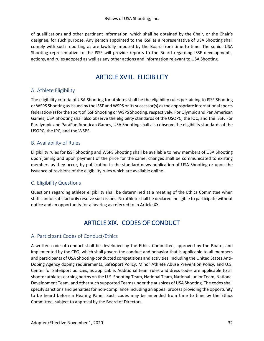of qualifications and other pertinent information, which shall be obtained by the Chair, or the Chair's designee, for such purpose. Any person appointed to the ISSF as a representative of USA Shooting shall comply with such reporting as are lawfully imposed by the Board from time to time. The senior USA Shooting representative to the ISSF will provide reports to the Board regarding ISSF developments, actions, and rules adopted as well as any other actions and information relevant to USA Shooting.

# ARTICLE XVIII. ELIGIBILITY

# <span id="page-34-0"></span>A. Athlete Eligibility

The eligibility criteria of USA Shooting for athletes shall be the eligibility rules pertaining to ISSF Shooting or WSPS Shooting as issued by the ISSF and WSPS or its successor(s) as the appropriate international sports federation(s) for the sport of ISSF Shooting or WSPS Shooting, respectively. For Olympic and Pan American Games, USA Shooting shall also observe the eligibility standards of the USOPC, the IOC, and the ISSF. For Paralympic and ParaPan American Games, USA Shooting shall also observe the eligibility standards of the USOPC, the IPC, and the WSPS.

### B. Availability of Rules

Eligibility rules for ISSF Shooting and WSPS Shooting shall be available to new members of USA Shooting upon joining and upon payment of the price for the same; changes shall be communicated to existing members as they occur, by publication in the standard news publication of USA Shooting or upon the issuance of revisions of the eligibility rules which are available online.

# C. Eligibility Questions

<span id="page-34-1"></span>Questions regarding athlete eligibility shall be determined at a meeting of the Ethics Committee when staff cannot satisfactorily resolve such issues. No athlete shall be declared ineligible to participate without notice and an opportunity for a hearing as referred to in Article XX.

# ARTICLE XIX. CODES OF CONDUCT

# A. Participant Codes of Conduct/Ethics

A written code of conduct shall be developed by the Ethics Committee, approved by the Board, and implemented by the CEO, which shall govern the conduct and behavior that is applicable to all members and participants of USA Shooting-conducted competitions and activities, including the United States Anti-Doping Agency doping requirements, SafeSport Policy, Minor Athlete Abuse Prevention Policy, and U.S. Center for SafeSport policies, as applicable. Additional team rules and dress codes are applicable to all shooter athletes earning berths on the U.S. Shooting Team, National Team, National Junior Team, National Development Team, and other such supported Teams under the auspices of USA Shooting. The codes shall specify sanctions and penalties for non-compliance including an appeal process providing the opportunity to be heard before a Hearing Panel. Such codes may be amended from time to time by the Ethics Committee, subject to approval by the Board of Directors.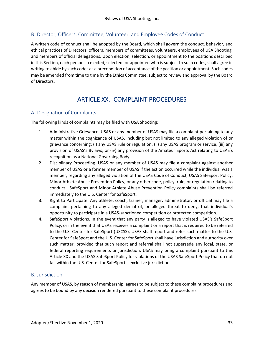# B. Director, Officers, Committee, Volunteer, and Employee Codes of Conduct

A written code of conduct shall be adopted by the Board, which shall govern the conduct, behavior, and ethical practices of Directors, officers, members of committees, volunteers, employees of USA Shooting, and members of official delegations. Upon election, selection, or appointment to the positions described in this Section, each person so elected, selected, or appointed who is subject to such codes, shall agree in writing to abide by such codes as a precondition of acceptance of the position or appointment. Such codes may be amended from time to time by the Ethics Committee, subject to review and approval by the Board of Directors.

# ARTICLE XX. COMPLAINT PROCEDURES

#### <span id="page-35-0"></span>A. Designation of Complaints

The following kinds of complaints may be filed with USA Shooting:

- 1. Administrative Grievance. USAS or any member of USAS may file a complaint pertaining to any matter within the cognizance of USAS, including but not limited to any alleged violation of or grievance concerning: (i) any USAS rule or regulation; (ii) any USAS program or service; (iii) any provision of USAS's Bylaws; or (iv) any provision of the Amateur Sports Act relating to USAS's recognition as a National Governing Body.
- 2. Disciplinary Proceeding. USAS or any member of USAS may file a complaint against another member of USAS or a former member of USAS if the action occurred while the individual was a member, regarding any alleged violation of the USAS Code of Conduct, USAS SafeSport Policy, Minor Athlete Abuse Prevention Policy, or any other code, policy, rule, or regulation relating to conduct. SafeSport and Minor Athlete Abuse Prevention Policy complaints shall be referred immediately to the U.S. Center for SafeSport.
- 3. Right to Participate. Any athlete, coach, trainer, manager, administrator, or official may file a complaint pertaining to any alleged denial of, or alleged threat to deny, that individual's opportunity to participate in a USAS-sanctioned competition or protected competition.
- 4. SafeSport Violations. In the event that any party is alleged to have violated USAS's SafeSport Policy, or in the event that USAS receives a complaint or a report that is required to be referred to the U.S. Center for SafeSport (USCSS), USAS shall report and refer such matter to the U.S. Center for SafeSport and the U.S. Center for SafeSport shall have jurisdiction and authority over such matter, provided that such report and referral shall not supersede any local, state, or federal reporting requirements or jurisdiction. USAS may bring a complaint pursuant to this Article XX and the USAS SafeSport Policy for violations of the USAS SafeSport Policy that do not fall within the U.S. Center for SafeSport's exclusive jurisdiction.

#### B. Jurisdiction

Any member of USAS, by reason of membership, agrees to be subject to these complaint procedures and agrees to be bound by any decision rendered pursuant to these complaint procedures.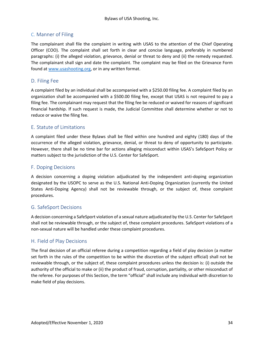### C. Manner of Filing

The complainant shall file the complaint in writing with USAS to the attention of the Chief Operating Officer (COO). The complaint shall set forth in clear and concise language, preferably in numbered paragraphs: (i) the alleged violation, grievance, denial or threat to deny and (ii) the remedy requested. The complainant shall sign and date the complaint. The complaint may be filed on the Grievance Form found at [www.usashooting.org,](http://www.usashooting.org/) or in any written format.

### D. Filing Fee

A complaint filed by an individual shall be accompanied with a \$250.00 filing fee. A complaint filed by an organization shall be accompanied with a \$500.00 filing fee, except that USAS is not required to pay a filing fee. The complainant may request that the filing fee be reduced or waived for reasons of significant financial hardship. If such request is made, the Judicial Committee shall determine whether or not to reduce or waive the filing fee.

#### E. Statute of Limitations

A complaint filed under these Bylaws shall be filed within one hundred and eighty (180) days of the occurrence of the alleged violation, grievance, denial, or threat to deny of opportunity to participate. However, there shall be no time bar for actions alleging misconduct within USAS's SafeSport Policy or matters subject to the jurisdiction of the U.S. Center for SafeSport.

#### F. Doping Decisions

A decision concerning a doping violation adjudicated by the independent anti-doping organization designated by the USOPC to serve as the U.S. National Anti-Doping Organization (currently the United States Anti-Doping Agency) shall not be reviewable through, or the subject of, these complaint procedures.

#### G. SafeSport Decisions

A decision concerning a SafeSport violation of a sexual nature adjudicated by the U.S. Center for SafeSport shall not be reviewable through, or the subject of, these complaint procedures. SafeSport violations of a non-sexual nature will be handled under these complaint procedures.

#### H. Field of Play Decisions

The final decision of an official referee during a competition regarding a field of play decision (a matter set forth in the rules of the competition to be within the discretion of the subject official) shall not be reviewable through, or the subject of, these complaint procedures unless the decision is: (i) outside the authority of the official to make or (ii) the product of fraud, corruption, partiality, or other misconduct of the referee. For purposes of this Section, the term "official" shall include any individual with discretion to make field of play decisions.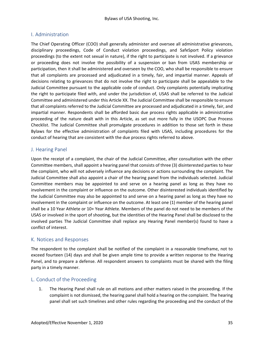### I. Administration

The Chief Operating Officer (COO) shall generally administer and oversee all administrative grievances, disciplinary proceedings, Code of Conduct violation proceedings, and SafeSport Policy violation proceedings (to the extent not sexual in nature), if the right to participate is not involved. If a grievance or proceeding does not involve the possibility of a suspension or ban from USAS membership or participation, then it shall be administered and overseen by the COO, who shall be responsible to ensure that all complaints are processed and adjudicated in a timely, fair, and impartial manner. Appeals of decisions relating to grievances that do not involve the right to participate shall be appealable to the Judicial Committee pursuant to the applicable code of conduct. Only complaints potentially implicating the right to participate filed with, and under the jurisdiction of, USAS shall be referred to the Judicial Committee and administered under this Article XX. The Judicial Committee shall be responsible to ensure that all complaints referred to the Judicial Committee are processed and adjudicated in a timely, fair, and impartial manner. Respondents shall be afforded basic due process rights applicable in administrative proceeding of the nature dealt with in this Article, as set out more fully in the USOPC Due Process Checklist. The Judicial Committee shall promulgate procedures in addition to those set forth in these Bylaws for the effective administration of complaints filed with USAS, including procedures for the conduct of hearing that are consistent with the due process rights referred to above.

#### J. Hearing Panel

Upon the receipt of a complaint, the chair of the Judicial Committee, after consultation with the other Committee members, shall appoint a hearing panel that consists of three (3) disinterested parties to hear the complaint, who will not adversely influence any decisions or actions surrounding the complaint. The Judicial Committee shall also appoint a chair of the hearing panel from the individuals selected. Judicial Committee members may be appointed to and serve on a hearing panel as long as they have no involvement in the complaint or influence on the outcome. Other disinterested individuals identified by the Judicial Committee may also be appointed to and serve on a hearing panel as long as they have no involvement in the complaint or influence on the outcome. At least one (1) member of the hearing panel shall be a 10 Year Athlete or 10+ Year Athlete. Members of the panel do not need to be members of the USAS or involved in the sport of shooting, but the identities of the Hearing Panel shall be disclosed to the involved parties The Judicial Committee shall replace any Hearing Panel member(s) found to have a conflict of interest.

#### K. Notices and Responses

The respondent to the complaint shall be notified of the complaint in a reasonable timeframe, not to exceed fourteen (14) days and shall be given ample time to provide a written response to the Hearing Panel, and to prepare a defense. All respondent answers to complaints must be shared with the filing party in a timely manner.

#### L. Conduct of the Proceeding

1. The Hearing Panel shall rule on all motions and other matters raised in the proceeding. If the complaint is not dismissed, the hearing panel shall hold a hearing on the complaint. The hearing panel shall set such timelines and other rules regarding the proceeding and the conduct of the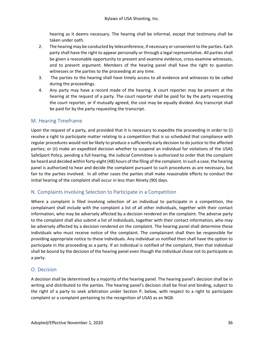hearing as it deems necessary. The hearing shall be informal, except that testimony shall be taken under oath.

- 2. The hearing may be conducted by teleconference, if necessary or convenient to the parties. Each party shall have the right to appear personally or through a legal representative. All parties shall be given a reasonable opportunity to present and examine evidence, cross-examine witnesses, and to present argument. Members of the hearing panel shall have the right to question witnesses or the parties to the proceeding at any time.
- 3. The parties to the hearing shall have timely access to all evidence and witnesses to be called during the proceedings.
- 4. Any party may have a record made of the hearing. A court reporter may be present at the hearing at the request of a party. The court reporter shall be paid for by the party requesting the court reporter, or if mutually agreed, the cost may be equally divided. Any transcript shall be paid for by the party requesting the transcript.

#### M. Hearing Timeframe

Upon the request of a party, and provided that it is necessary to expedite the proceeding in order to (i) resolve a right to participate matter relating to a competition that is so scheduled that compliance with regular procedures would not be likely to produce a sufficiently early decision to do justice to the affected parties; or (ii) make an expedited decision whether to suspend an individual for violations of the USAS SafeSport Policy, pending a full hearing, the Judicial Committee is authorized to order that the complaint be heard and decided within forty-eight (48) hours of the filing of the complaint. In such a case, the hearing panel is authorized to hear and decide the complaint pursuant to such procedures as are necessary, but fair to the parties involved. In all other cases the parties shall make reasonable efforts to conduct the initial hearing of the complaint shall occur in less than Ninety (90) days.

#### N. Complaints Involving Selection to Participate in a Competition

Where a complaint is filed involving selection of an individual to participate in a competition, the complainant shall include with the complaint a list of all other individuals, together with their contact information, who may be adversely affected by a decision rendered on the complaint. The adverse party to the complaint shall also submit a list of individuals, together with their contact information, who may be adversely affected by a decision rendered on the complaint. The hearing panel shall determine those individuals who must receive notice of the complaint. The complainant shall then be responsible for providing appropriate notice to these individuals. Any individual so notified then shall have the option to participate in the proceeding as a party. If an individual is notified of the complaint, then that individual shall be bound by the decision of the hearing panel even though the individual chose not to participate as a party.

#### O. Decision

A decision shall be determined by a majority of the hearing panel. The hearing panel's decision shall be in writing and distributed to the parties. The hearing panel's decision shall be final and binding, subject to the right of a party to seek arbitration under Section P, below, with respect to a right to participate complaint or a complaint pertaining to the recognition of USAS as an NGB.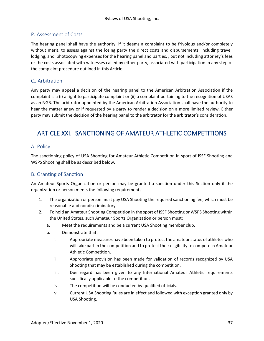#### P. Assessment of Costs

The hearing panel shall have the authority, if it deems a complaint to be frivolous and/or completely without merit, to assess against the losing party the direct costs and disbursements, including travel, lodging, and photocopying expenses for the hearing panel and parties, , but not including attorney's fees or the costs associated with witnesses called by either party, associated with participation in any step of the complaint procedure outlined in this Article.

### Q. Arbitration

Any party may appeal a decision of the hearing panel to the American Arbitration Association if the complaint is a (i) a right to participate complaint or (ii) a complaint pertaining to the recognition of USAS as an NGB. The arbitrator appointed by the American Arbitration Association shall have the authority to hear the matter anew or if requested by a party to render a decision on a more limited review. Either party may submit the decision of the hearing panel to the arbitrator for the arbitrator's consideration.

# <span id="page-39-0"></span>ARTICLE XXI. SANCTIONING OF AMATEUR ATHLETIC COMPETITIONS

#### A. Policy

The sanctioning policy of USA Shooting for Amateur Athletic Competition in sport of ISSF Shooting and WSPS Shooting shall be as described below.

#### B. Granting of Sanction

An Amateur Sports Organization or person may be granted a sanction under this Section only if the organization or person meets the following requirements:

- 1. The organization or person must pay USA Shooting the required sanctioning fee, which must be reasonable and nondiscriminatory.
- 2. To hold an Amateur Shooting Competition in the sport of ISSF Shooting or WSPS Shooting within the United States, such Amateur Sports Organization or person must:
	- a. Meet the requirements and be a current USA Shooting member club.
	- b. Demonstrate that:
		- i. Appropriate measures have been taken to protect the amateur status of athletes who will take part in the competition and to protect their eligibility to compete in Amateur Athletic Competition.
		- ii. Appropriate provision has been made for validation of records recognized by USA Shooting that may be established during the competition.
		- iii. Due regard has been given to any International Amateur Athletic requirements specifically applicable to the competition.
		- iv. The competition will be conducted by qualified officials.
		- v. Current USA Shooting Rules are in effect and followed with exception granted only by USA Shooting.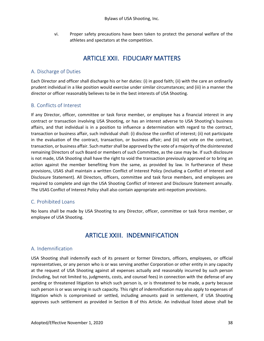vi. Proper safety precautions have been taken to protect the personal welfare of the athletes and spectators at the competition.

# ARTICLE XXII. FIDUCIARY MATTERS

### <span id="page-40-0"></span>A. Discharge of Duties

Each Director and officer shall discharge his or her duties: (i) in good faith; (ii) with the care an ordinarily prudent individual in a like position would exercise under similar circumstances; and (iii) in a manner the director or officer reasonably believes to be in the best interests of USA Shooting.

### B. Conflicts of Interest

If any Director, officer, committee or task force member, or employee has a financial interest in any contract or transaction involving USA Shooting, or has an interest adverse to USA Shooting's business affairs, and that individual is in a position to influence a determination with regard to the contract, transaction or business affair, such individual shall: (i) disclose the conflict of interest; (ii) not participate in the evaluation of the contract, transaction, or business affair; and (iii) not vote on the contract, transaction, or business affair. Such matter shall be approved by the vote of a majority of the disinterested remaining Directors of such Board or members of such Committee, as the case may be. If such disclosure is not made, USA Shooting shall have the right to void the transaction previously approved or to bring an action against the member benefiting from the same, as provided by law. In furtherance of these provisions, USAS shall maintain a written Conflict of Interest Policy (including a Conflict of Interest and Disclosure Statement). All Directors, officers, committee and task force members, and employees are required to complete and sign the USA Shooting Conflict of Interest and Disclosure Statement annually. The USAS Conflict of Interest Policy shall also contain appropriate anti-nepotism provisions.

#### C. Prohibited Loans

<span id="page-40-1"></span>No loans shall be made by USA Shooting to any Director, officer, committee or task force member, or employee of USA Shooting.

# ARTICLE XXIII. INDEMNIFICATION

#### A. Indemnification

USA Shooting shall indemnify each of its present or former Directors, officers, employees, or official representatives, or any person who is or was serving another Corporation or other entity in any capacity at the request of USA Shooting against all expenses actually and reasonably incurred by such person (including, but not limited to, judgments, costs, and counsel fees) in connection with the defense of any pending or threatened litigation to which such person is, or is threatened to be made, a party because such person is or was serving in such capacity. This right of indemnification may also apply to expenses of litigation which is compromised or settled, including amounts paid in settlement, if USA Shooting approves such settlement as provided in Section B of this Article. An individual listed above shall be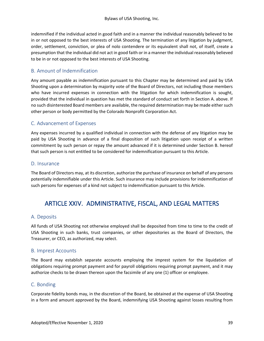indemnified if the individual acted in good faith and in a manner the individual reasonably believed to be in or not opposed to the best interests of USA Shooting. The termination of any litigation by judgment, order, settlement, conviction, or plea of nolo contendere or its equivalent shall not, of itself, create a presumption that the individual did not act in good faith or in a manner the individual reasonably believed to be in or not opposed to the best interests of USA Shooting.

### B. Amount of Indemnification

Any amount payable as indemnification pursuant to this Chapter may be determined and paid by USA Shooting upon a determination by majority vote of the Board of Directors, not including those members who have incurred expenses in connection with the litigation for which indemnification is sought, provided that the individual in question has met the standard of conduct set forth in Section A. above. If no such disinterested Board members are available, the required determination may be made either such other person or body permitted by the Colorado Nonprofit Corporation Act.

#### C. Advancement of Expenses

Any expenses incurred by a qualified individual in connection with the defense of any litigation may be paid by USA Shooting in advance of a final disposition of such litigation upon receipt of a written commitment by such person or repay the amount advanced if it is determined under Section B. hereof that such person is not entitled to be considered for indemnification pursuant to this Article.

#### D. Insurance

The Board of Directors may, at its discretion, authorize the purchase of insurance on behalf of any persons potentially indemnifiable under this Article. Such insurance may include provisions for indemnification of such persons for expenses of a kind not subject to indemnification pursuant to this Article.

# <span id="page-41-0"></span>ARTICLE XXIV. ADMINISTRATIVE, FISCAL, AND LEGAL MATTERS

#### A. Deposits

All funds of USA Shooting not otherwise employed shall be deposited from time to time to the credit of USA Shooting in such banks, trust companies, or other depositories as the Board of Directors, the Treasurer, or CEO, as authorized, may select.

#### B. Imprest Accounts

The Board may establish separate accounts employing the imprest system for the liquidation of obligations requiring prompt payment and for payroll obligations requiring prompt payment, and it may authorize checks to be drawn thereon upon the facsimile of any one (1) officer or employee.

#### C. Bonding

Corporate fidelity bonds may, in the discretion of the Board, be obtained at the expense of USA Shooting in a form and amount approved by the Board, indemnifying USA Shooting against losses resulting from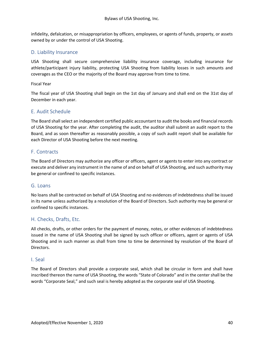infidelity, defalcation, or misappropriation by officers, employees, or agents of funds, property, or assets owned by or under the control of USA Shooting.

#### D. Liability Insurance

USA Shooting shall secure comprehensive liability insurance coverage, including insurance for athlete/participant injury liability, protecting USA Shooting from liability losses in such amounts and coverages as the CEO or the majority of the Board may approve from time to time.

#### Fiscal Year

The fiscal year of USA Shooting shall begin on the 1st day of January and shall end on the 31st day of December in each year.

#### E. Audit Schedule

The Board shall select an independent certified public accountant to audit the books and financial records of USA Shooting for the year. After completing the audit, the auditor shall submit an audit report to the Board, and as soon thereafter as reasonably possible, a copy of such audit report shall be available for each Director of USA Shooting before the next meeting.

#### F. Contracts

The Board of Directors may authorize any officer or officers, agent or agents to enter into any contract or execute and deliver any instrument in the name of and on behalf of USA Shooting, and such authority may be general or confined to specific instances.

#### G. Loans

No loans shall be contracted on behalf of USA Shooting and no evidences of indebtedness shall be issued in its name unless authorized by a resolution of the Board of Directors. Such authority may be general or confined to specific instances.

#### H. Checks, Drafts, Etc.

All checks, drafts, or other orders for the payment of money, notes, or other evidences of indebtedness issued in the name of USA Shooting shall be signed by such officer or officers, agent or agents of USA Shooting and in such manner as shall from time to time be determined by resolution of the Board of Directors.

#### I. Seal

The Board of Directors shall provide a corporate seal, which shall be circular in form and shall have inscribed thereon the name of USA Shooting, the words "State of Colorado" and in the center shall be the words "Corporate Seal," and such seal is hereby adopted as the corporate seal of USA Shooting.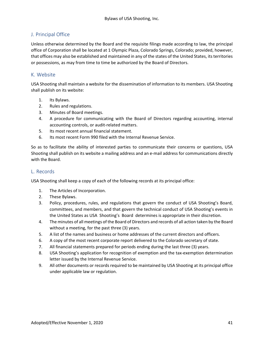# J. Principal Office

Unless otherwise determined by the Board and the requisite filings made according to law, the principal office of Corporation shall be located at 1 Olympic Plaza, Colorado Springs, Colorado; provided, however, that offices may also be established and maintained in any of the states of the United States, its territories or possessions, as may from time to time be authorized by the Board of Directors.

### K. Website

USA Shooting shall maintain a website for the dissemination of information to its members. USA Shooting shall publish on its website:

- 1. Its Bylaws.
- 2. Rules and regulations.
- 3. Minutes of Board meetings.
- 4. A procedure for communicating with the Board of Directors regarding accounting, internal accounting controls, or audit-related matters.
- 5. Its most recent annual financial statement.
- 6. Its most recent Form 990 filed with the Internal Revenue Service.

So as to facilitate the ability of interested parties to communicate their concerns or questions, USA Shooting shall publish on its website a mailing address and an e-mail address for communications directly with the Board.

#### L. Records

USA Shooting shall keep a copy of each of the following records at its principal office:

- 1. The Articles of Incorporation.
- 2. These Bylaws.
- 3. Policy, procedures, rules, and regulations that govern the conduct of USA Shooting's Board, committees, and members, and that govern the technical conduct of USA Shooting's events in the United States as USA Shooting's Board determines is appropriate in their discretion.
- 4. The minutes of all meetings of the Board of Directors and records of all action taken by the Board without a meeting, for the past three (3) years.
- 5. A list of the names and business or home addresses of the current directors and officers.
- 6. A copy of the most recent corporate report delivered to the Colorado secretary of state.
- 7. All financial statements prepared for periods ending during the last three (3) years.
- 8. USA Shooting's application for recognition of exemption and the tax-exemption determination letter issued by the Internal Revenue Service.
- 9. All other documents or records required to be maintained by USA Shooting at its principal office under applicable law or regulation.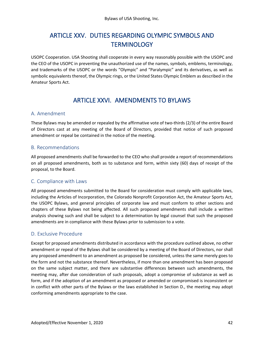# <span id="page-44-0"></span>ARTICLE XXV. DUTIES REGARDING OLYMPIC SYMBOLS AND **TERMINOLOGY**

USOPC Cooperation. USA Shooting shall cooperate in every way reasonably possible with the USOPC and the CEO of the USOPC in preventing the unauthorized use of the names, symbols, emblems, terminology, and trademarks of the USOPC or the words "Olympic" and "Paralympic" and its derivatives, as well as symbolic equivalents thereof, the Olympic rings, or the United States Olympic Emblem as described in the Amateur Sports Act.

# ARTICLE XXVI. AMENDMENTS TO BYLAWS

#### <span id="page-44-1"></span>A. Amendment

These Bylaws may be amended or repealed by the affirmative vote of two-thirds (2/3) of the entire Board of Directors cast at any meeting of the Board of Directors, provided that notice of such proposed amendment or repeal be contained in the notice of the meeting.

#### B. Recommendations

All proposed amendments shall be forwarded to the CEO who shall provide a report of recommendations on all proposed amendments, both as to substance and form, within sixty (60) days of receipt of the proposal, to the Board.

#### C. Compliance with Laws

All proposed amendments submitted to the Board for consideration must comply with applicable laws, including the Articles of Incorporation, the Colorado Nonprofit Corporation Act, the Amateur Sports Act, the USOPC Bylaws, and general principles of corporate law and must conform to other sections and chapters of these Bylaws not being affected. All such proposed amendments shall include a written analysis showing such and shall be subject to a determination by legal counsel that such the proposed amendments are in compliance with these Bylaws prior to submission to a vote.

#### D. Exclusive Procedure

Except for proposed amendments distributed in accordance with the procedure outlined above, no other amendment or repeal of the Bylaws shall be considered by a meeting of the Board of Directors, nor shall any proposed amendment to an amendment as proposed be considered, unless the same merely goes to the form and not the substance thereof. Nevertheless, if more than one amendment has been proposed on the same subject matter, and there are substantive differences between such amendments, the meeting may, after due consideration of such proposals, adopt a compromise of substance as well as form, and if the adoption of an amendment as proposed or amended or compromised is inconsistent or in conflict with other parts of the Bylaws or the laws established in Section D., the meeting may adopt conforming amendments appropriate to the case.